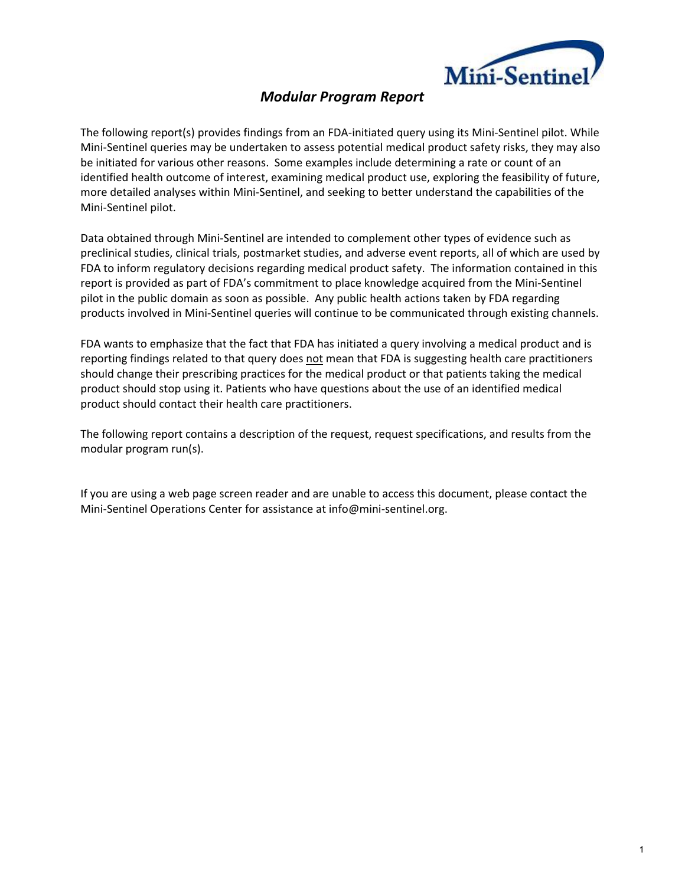

# *Modular Program Report*

The following report(s) provides findings from an FDA-initiated query using its Mini-Sentinel pilot. While Mini‐Sentinel queries may be undertaken to assess potential medical product safety risks, they may also be initiated for various other reasons. Some examples include determining a rate or count of an identified health outcome of interest, examining medical product use, exploring the feasibility of future, more detailed analyses within Mini‐Sentinel, and seeking to better understand the capabilities of the Mini‐Sentinel pilot.

Data obtained through Mini‐Sentinel are intended to complement other types of evidence such as preclinical studies, clinical trials, postmarket studies, and adverse event reports, all of which are used by FDA to inform regulatory decisions regarding medical product safety. The information contained in this report is provided as part of FDA's commitment to place knowledge acquired from the Mini‐Sentinel pilot in the public domain as soon as possible. Any public health actions taken by FDA regarding products involved in Mini‐Sentinel queries will continue to be communicated through existing channels.

FDA wants to emphasize that the fact that FDA has initiated a query involving a medical product and is reporting findings related to that query does not mean that FDA is suggesting health care practitioners should change their prescribing practices for the medical product or that patients taking the medical product should stop using it. Patients who have questions about the use of an identified medical product should contact their health care practitioners.

The following report contains a description of the request, request specifications, and results from the modular program run(s).

If you are using a web page screen reader and are unable to access this document, please contact the Mini‐Sentinel Operations Center for assistance at info@mini‐sentinel.org.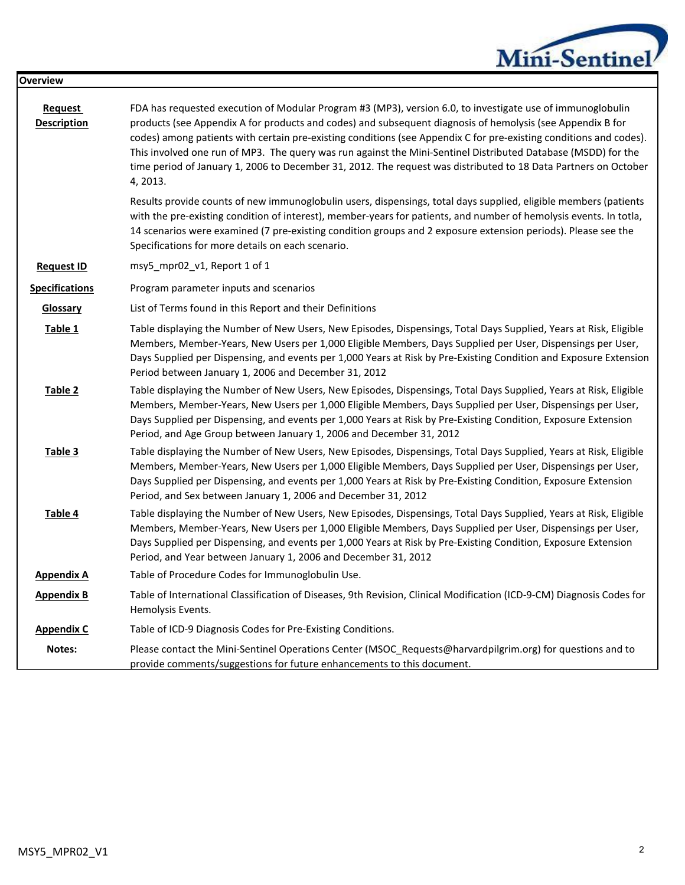| Mini-Sentinel |
|---------------|
|               |

| <b>Overview</b>               |                                                                                                                                                                                                                                                                                                                                                                                                                                                                                                                                                                                                |
|-------------------------------|------------------------------------------------------------------------------------------------------------------------------------------------------------------------------------------------------------------------------------------------------------------------------------------------------------------------------------------------------------------------------------------------------------------------------------------------------------------------------------------------------------------------------------------------------------------------------------------------|
| Request<br><b>Description</b> | FDA has requested execution of Modular Program #3 (MP3), version 6.0, to investigate use of immunoglobulin<br>products (see Appendix A for products and codes) and subsequent diagnosis of hemolysis (see Appendix B for<br>codes) among patients with certain pre-existing conditions (see Appendix C for pre-existing conditions and codes).<br>This involved one run of MP3. The query was run against the Mini-Sentinel Distributed Database (MSDD) for the<br>time period of January 1, 2006 to December 31, 2012. The request was distributed to 18 Data Partners on October<br>4, 2013. |
|                               | Results provide counts of new immunoglobulin users, dispensings, total days supplied, eligible members (patients<br>with the pre-existing condition of interest), member-years for patients, and number of hemolysis events. In totla,<br>14 scenarios were examined (7 pre-existing condition groups and 2 exposure extension periods). Please see the<br>Specifications for more details on each scenario.                                                                                                                                                                                   |
| <b>Request ID</b>             | msy5_mpr02_v1, Report 1 of 1                                                                                                                                                                                                                                                                                                                                                                                                                                                                                                                                                                   |
| <b>Specifications</b>         | Program parameter inputs and scenarios                                                                                                                                                                                                                                                                                                                                                                                                                                                                                                                                                         |
| <b>Glossary</b>               | List of Terms found in this Report and their Definitions                                                                                                                                                                                                                                                                                                                                                                                                                                                                                                                                       |
| Table 1                       | Table displaying the Number of New Users, New Episodes, Dispensings, Total Days Supplied, Years at Risk, Eligible<br>Members, Member-Years, New Users per 1,000 Eligible Members, Days Supplied per User, Dispensings per User,<br>Days Supplied per Dispensing, and events per 1,000 Years at Risk by Pre-Existing Condition and Exposure Extension<br>Period between January 1, 2006 and December 31, 2012                                                                                                                                                                                   |
| Table 2                       | Table displaying the Number of New Users, New Episodes, Dispensings, Total Days Supplied, Years at Risk, Eligible<br>Members, Member-Years, New Users per 1,000 Eligible Members, Days Supplied per User, Dispensings per User,<br>Days Supplied per Dispensing, and events per 1,000 Years at Risk by Pre-Existing Condition, Exposure Extension<br>Period, and Age Group between January 1, 2006 and December 31, 2012                                                                                                                                                                       |
| Table 3                       | Table displaying the Number of New Users, New Episodes, Dispensings, Total Days Supplied, Years at Risk, Eligible<br>Members, Member-Years, New Users per 1,000 Eligible Members, Days Supplied per User, Dispensings per User,<br>Days Supplied per Dispensing, and events per 1,000 Years at Risk by Pre-Existing Condition, Exposure Extension<br>Period, and Sex between January 1, 2006 and December 31, 2012                                                                                                                                                                             |
| Table 4                       | Table displaying the Number of New Users, New Episodes, Dispensings, Total Days Supplied, Years at Risk, Eligible<br>Members, Member-Years, New Users per 1,000 Eligible Members, Days Supplied per User, Dispensings per User,<br>Days Supplied per Dispensing, and events per 1,000 Years at Risk by Pre-Existing Condition, Exposure Extension<br>Period, and Year between January 1, 2006 and December 31, 2012                                                                                                                                                                            |
| <b>Appendix A</b>             | Table of Procedure Codes for Immunoglobulin Use.                                                                                                                                                                                                                                                                                                                                                                                                                                                                                                                                               |
| <b>Appendix B</b>             | Table of International Classification of Diseases, 9th Revision, Clinical Modification (ICD-9-CM) Diagnosis Codes for<br>Hemolysis Events.                                                                                                                                                                                                                                                                                                                                                                                                                                                     |
| <b>Appendix C</b>             | Table of ICD-9 Diagnosis Codes for Pre-Existing Conditions.                                                                                                                                                                                                                                                                                                                                                                                                                                                                                                                                    |
| Notes:                        | Please contact the Mini-Sentinel Operations Center (MSOC_Requests@harvardpilgrim.org) for questions and to<br>provide comments/suggestions for future enhancements to this document.                                                                                                                                                                                                                                                                                                                                                                                                           |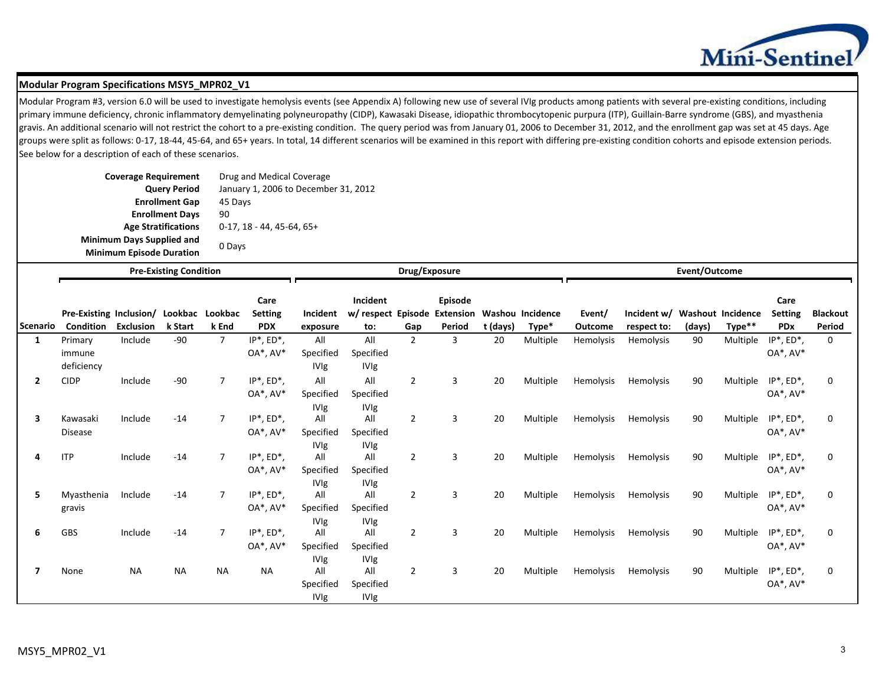

#### **Modular Program Specifications MSY5\_MPR02\_V1**

Modular Program #3, version 6.0 will be used to investigate hemolysis events (see Appendix A) following new use of several IVIg products among patients with several pre-existing conditions, including primary immune deficiency, chronic inflammatory demyelinating polyneuropathy (CIDP), Kawasaki Disease, idiopathic thrombocytopenic purpura (ITP), Guillain-Barre syndrome (GBS), and myasthenia gravis. An additional scenario will not restrict the cohort to a pre-existing condition. The query period was from January 01, 2006 to December 31, 2012, and the enrollment gap was set at 45 days. Age groups were split as follows: 0-17, 18-44, 45-64, and 65+ years. In total, 14 different scenarios will be examined in this report with differing pre-existing condition cohorts and episode extension periods. See below for a description of each of these scenarios.

| <b>Coverage Requirement</b>      | Drug and Medical Coverage            |
|----------------------------------|--------------------------------------|
| <b>Query Period</b>              | January 1, 2006 to December 31, 2012 |
| <b>Enrollment Gap</b>            | 45 Days                              |
| <b>Enrollment Days</b>           | 90                                   |
| <b>Age Stratifications</b>       | $0-17, 18 - 44, 45-64, 65+$          |
| <b>Minimum Days Supplied and</b> |                                      |
| <b>Minimum Episode Duration</b>  | 0 Days                               |

|                 |                                 |                  | <b>Pre-Existing Condition</b> |                | Drug/Exposure<br>Event/Outcome       |                                                |                                                |                |                                              |          |          |           |             |        |                          |                               |                 |
|-----------------|---------------------------------|------------------|-------------------------------|----------------|--------------------------------------|------------------------------------------------|------------------------------------------------|----------------|----------------------------------------------|----------|----------|-----------|-------------|--------|--------------------------|-------------------------------|-----------------|
|                 | Pre-Existing Inclusion/ Lookbac |                  |                               | Lookbac        | Care<br><b>Setting</b>               | Incident                                       | Incident<br>w/ respect Episode                 |                | Episode<br><b>Extension Washou Incidence</b> |          |          | Event/    | Incident w/ |        | <b>Washout Incidence</b> | Care<br><b>Setting</b>        | <b>Blackout</b> |
| <b>Scenario</b> | Condition                       | <b>Exclusion</b> | k Start                       | k End          | <b>PDX</b>                           | exposure                                       | to:                                            | Gap            | Period                                       | t (days) | Type*    | Outcome   | respect to: | (days) | Type**                   | <b>PDx</b>                    | Period          |
| 1               | Primary<br>immune<br>deficiency | Include          | $-90$                         | $\overline{7}$ | $IP^*$ , $ED^*$ ,<br>$OA^*$ , $AV^*$ | All<br>Specified<br><b>IVIg</b>                | All<br>Specified<br><b>IVIg</b>                | $\overline{2}$ | 3                                            | 20       | Multiple | Hemolysis | Hemolysis   | 90     | Multiple                 | $IP^*$ , $ED^*$ ,<br>OA*, AV* | $\mathbf 0$     |
| $\overline{2}$  | <b>CIDP</b>                     | Include          | $-90$                         | $\overline{7}$ | $IP^*$ , $ED^*$ ,<br>$OA^*$ , $AV^*$ | All<br>Specified                               | All<br>Specified                               | $\overline{2}$ | 3                                            | 20       | Multiple | Hemolysis | Hemolysis   | 90     | Multiple                 | $IP^*$ , $ED^*$ ,<br>OA*, AV* | $\mathbf 0$     |
| 3               | Kawasaki<br><b>Disease</b>      | Include          | $-14$                         | $\overline{7}$ | $IP^*$ , $ED^*$ ,<br>$OA^*$ , $AV^*$ | <b>IVIg</b><br>All<br>Specified                | <b>IVIg</b><br>All<br>Specified                | $\overline{2}$ | 3                                            | 20       | Multiple | Hemolysis | Hemolysis   | 90     | Multiple                 | $IP^*$ , $ED^*$ ,<br>OA*, AV* | $\mathbf 0$     |
| 4               | <b>ITP</b>                      | Include          | $-14$                         | $\overline{7}$ | $IP^*$ , $ED^*$ ,<br>$OA^*$ , $AV^*$ | <b>IVIg</b><br>All<br>Specified                | <b>IVIg</b><br>All<br>Specified                | $\overline{2}$ | 3                                            | 20       | Multiple | Hemolysis | Hemolysis   | 90     | Multiple                 | $IP^*$ , $ED^*$ ,<br>OA*, AV* | $\mathbf 0$     |
| 5               | Myasthenia<br>gravis            | Include          | $-14$                         | $\overline{7}$ | $IP^*$ , $ED^*$ ,<br>$OA^*$ , $AV^*$ | <b>IVIg</b><br>All<br>Specified                | <b>IVIg</b><br>All<br>Specified                | $\overline{2}$ | 3                                            | 20       | Multiple | Hemolysis | Hemolysis   | 90     | Multiple                 | $IP^*$ , $ED^*$ ,<br>OA*, AV* | $\mathbf 0$     |
| 6               | <b>GBS</b>                      | Include          | $-14$                         | $\overline{7}$ | $IP^*$ , $ED^*$ ,<br>$OA^*$ , $AV^*$ | <b>IVIg</b><br>All<br>Specified                | <b>IVIg</b><br>All<br>Specified                | $\overline{2}$ | 3                                            | 20       | Multiple | Hemolysis | Hemolysis   | 90     | Multiple                 | $IP^*$ , $ED^*$ ,<br>OA*, AV* | $\mathbf 0$     |
| 7               | None                            | <b>NA</b>        | <b>NA</b>                     | <b>NA</b>      | <b>NA</b>                            | <b>IVIg</b><br>All<br>Specified<br><b>IVIg</b> | <b>IVIg</b><br>All<br>Specified<br><b>IVIg</b> | $\overline{2}$ | 3                                            | 20       | Multiple | Hemolysis | Hemolysis   | 90     | Multiple                 | $IP^*$ , $ED^*$ ,<br>OA*, AV* | $\mathbf 0$     |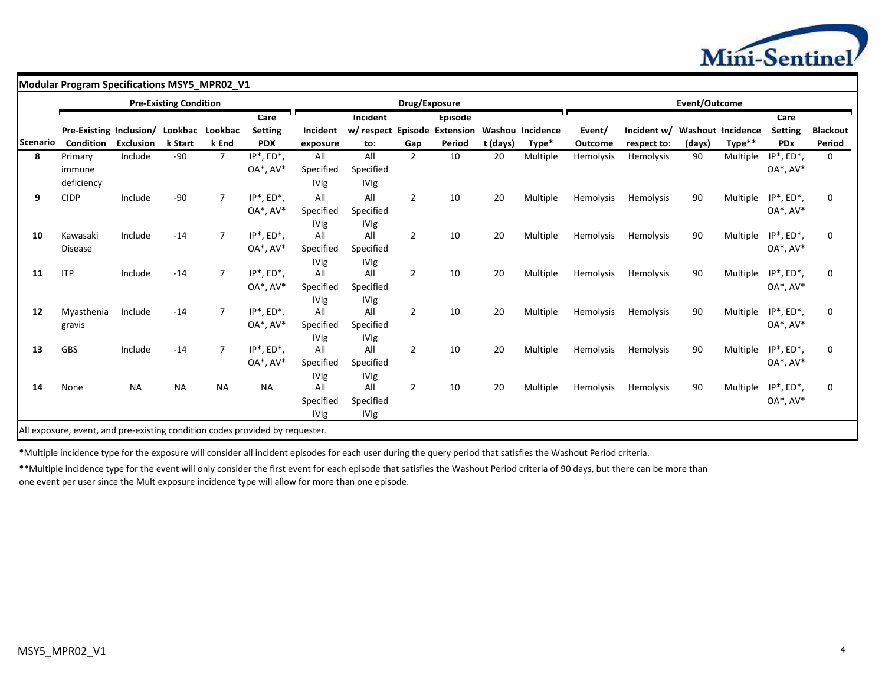

**Modular Program Specifications MSY5\_MPR02\_V1** 

|          |                         |                  | <b>Pre-Existing Condition</b> |                |                   |             |                              | Drug/Exposure  |         |          |                  |                |                  | Event/Outcome            |          |                   |                 |
|----------|-------------------------|------------------|-------------------------------|----------------|-------------------|-------------|------------------------------|----------------|---------|----------|------------------|----------------|------------------|--------------------------|----------|-------------------|-----------------|
|          |                         |                  |                               |                | Care              |             | Incident                     |                | Episode |          |                  |                |                  |                          |          | Care              |                 |
|          | Pre-Existing Inclusion/ |                  | Lookbac                       | Lookbac        | <b>Setting</b>    | Incident    | w/ respect Episode Extension |                |         |          | Washou Incidence | Event/         | Incident w/      | <b>Washout Incidence</b> |          | <b>Setting</b>    | <b>Blackout</b> |
| Scenario | <b>Condition</b>        | <b>Exclusion</b> | k Start                       | k End          | <b>PDX</b>        | exposure    | to:                          | Gap            | Period  | t (days) | Type*            | <b>Outcome</b> | respect to:      | (days)                   | Type**   | <b>PDx</b>        | Period          |
| 8        | Primary                 | Include          | $-90$                         | $\overline{7}$ | $IP^*$ , $ED^*$ , | All         | All                          | $\overline{2}$ | 10      | 20       | Multiple         | Hemolysis      | Hemolysis        | 90                       | Multiple | $IP^*$ , $ED^*$ , | $\mathbf 0$     |
|          | immune                  |                  |                               |                | $OA^*$ , $AV^*$   | Specified   | Specified                    |                |         |          |                  |                |                  |                          |          | $OA^*$ , $AV^*$   |                 |
|          | deficiency              |                  |                               |                |                   | <b>IVIg</b> | IVIg                         |                |         |          |                  |                |                  |                          |          |                   |                 |
| 9        | <b>CIDP</b>             | Include          | $-90$                         | $\overline{7}$ | $IP^*$ , $ED^*$ , | All         | All                          | $\overline{2}$ | 10      | 20       | Multiple         | Hemolysis      | <b>Hemolysis</b> | 90                       | Multiple | $IP^*$ , $ED^*$ , | $\mathbf 0$     |
|          |                         |                  |                               |                | $OA^*$ , $AV^*$   | Specified   | Specified                    |                |         |          |                  |                |                  |                          |          | OA*, AV*          |                 |
|          |                         |                  |                               |                |                   | <b>IVIg</b> | <b>IVIg</b>                  |                |         |          |                  |                |                  |                          |          |                   |                 |
| 10       | Kawasaki                | Include          | $-14$                         | $\overline{7}$ | $IP^*$ , $ED^*$ , | All         | All                          | $\overline{2}$ | 10      | 20       | Multiple         | Hemolysis      | Hemolysis        | 90                       | Multiple | $IP^*$ , $ED^*$ , | $\mathbf{0}$    |
|          | Disease                 |                  |                               |                | $OA^*$ , $AV^*$   | Specified   | Specified                    |                |         |          |                  |                |                  |                          |          | OA*, AV*          |                 |
|          |                         |                  |                               |                |                   | <b>IVIg</b> | <b>IVIg</b>                  |                |         |          |                  |                |                  |                          |          |                   |                 |
| 11       | <b>ITP</b>              | Include          | $-14$                         | $\overline{7}$ | $IP^*$ , $ED^*$ , | All         | All                          | $\overline{2}$ | 10      | 20       | Multiple         | Hemolysis      | Hemolysis        | 90                       | Multiple | $IP^*$ , $ED^*$ , | $\mathbf 0$     |
|          |                         |                  |                               |                | $OA^*$ , $AV^*$   | Specified   | Specified                    |                |         |          |                  |                |                  |                          |          | OA*, AV*          |                 |
|          |                         |                  |                               |                |                   | <b>IVIg</b> | IVIg                         |                |         |          |                  |                |                  |                          |          |                   |                 |
| 12       | Myasthenia              | Include          | $-14$                         | $\overline{7}$ | $IP^*$ , $ED^*$ , | All         | All                          | $\overline{2}$ | 10      | 20       | Multiple         | Hemolysis      | <b>Hemolysis</b> | 90                       | Multiple | $IP^*$ , $ED^*$ , | $\mathbf 0$     |
|          | gravis                  |                  |                               |                | $OA^*$ , $AV^*$   | Specified   | Specified                    |                |         |          |                  |                |                  |                          |          | OA*, AV*          |                 |
|          |                         |                  |                               |                |                   | <b>IVIg</b> | <b>IVIg</b>                  |                |         |          |                  |                |                  |                          |          |                   |                 |
| 13       | GBS                     | Include          | $-14$                         | $\overline{7}$ | $IP^*$ , $ED^*$ , | All         | All                          | $\overline{2}$ | 10      | 20       | Multiple         | Hemolysis      | Hemolysis        | 90                       | Multiple | $IP^*$ , $ED^*$ , | $\mathbf 0$     |
|          |                         |                  |                               |                | OA*, AV*          | Specified   | Specified                    |                |         |          |                  |                |                  |                          |          | OA*, AV*          |                 |
|          |                         |                  |                               |                |                   | <b>IVIg</b> | <b>IVIg</b>                  |                |         |          |                  |                |                  |                          |          |                   |                 |
| 14       | None                    | <b>NA</b>        | <b>NA</b>                     | <b>NA</b>      | <b>NA</b>         | All         | All                          | 2              | 10      | 20       | Multiple         | Hemolysis      | <b>Hemolysis</b> | 90                       | Multiple | $IP^*$ , $ED^*$ , | $\mathbf 0$     |
|          |                         |                  |                               |                |                   | Specified   | Specified                    |                |         |          |                  |                |                  |                          |          | $OA^*$ , $AV^*$   |                 |
|          |                         |                  |                               |                |                   | <b>IVIg</b> | IVIg                         |                |         |          |                  |                |                  |                          |          |                   |                 |

\*Multiple incidence type for the exposure will consider all incident episodes for each user during the query period that satisfies the Washout Period criteria.

\*\*Multiple incidence type for the event will only consider the first event for each episode that satisfies the Washout Period criteria of 90 days, but there can be more than one event per user since the Mult exposure incidence type will allow for more than one episode.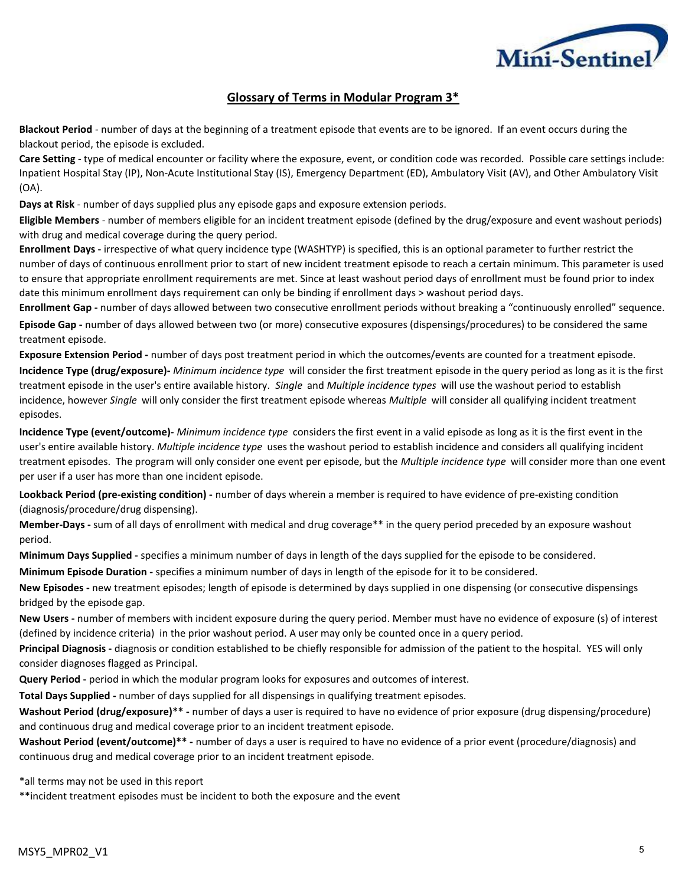

### **Glossary of Terms in Modular Program 3\***

**Blackout Period** - number of days at the beginning of a treatment episode that events are to be ignored. If an event occurs during the blackout period, the episode is excluded.

**Care Setting** - type of medical encounter or facility where the exposure, event, or condition code was recorded. Possible care settings include: Inpatient Hospital Stay (IP), Non-Acute Institutional Stay (IS), Emergency Department (ED), Ambulatory Visit (AV), and Other Ambulatory Visit (OA).

**Days at Risk** - number of days supplied plus any episode gaps and exposure extension periods.

**Eligible Members** - number of members eligible for an incident treatment episode (defined by the drug/exposure and event washout periods) with drug and medical coverage during the query period.

**Enrollment Days -** irrespective of what query incidence type (WASHTYP) is specified, this is an optional parameter to further restrict the number of days of continuous enrollment prior to start of new incident treatment episode to reach a certain minimum. This parameter is used to ensure that appropriate enrollment requirements are met. Since at least washout period days of enrollment must be found prior to index date this minimum enrollment days requirement can only be binding if enrollment days > washout period days.

**Enrollment Gap -** number of days allowed between two consecutive enrollment periods without breaking a "continuously enrolled" sequence.

**Episode Gap -** number of days allowed between two (or more) consecutive exposures (dispensings/procedures) to be considered the same treatment episode.

**Exposure Extension Period -** number of days post treatment period in which the outcomes/events are counted for a treatment episode.

**Incidence Type (drug/exposure)-** *Minimum incidence type* will consider the first treatment episode in the query period as long as it is the first treatment episode in the user's entire available history. *Single* and *Multiple incidence types* will use the washout period to establish incidence, however *Single* will only consider the first treatment episode whereas *Multiple* will consider all qualifying incident treatment episodes.

**Incidence Type (event/outcome)-** *Minimum incidence type* considers the first event in a valid episode as long as it is the first event in the user's entire available history. *Multiple incidence type* uses the washout period to establish incidence and considers all qualifying incident treatment episodes. The program will only consider one event per episode, but the *Multiple incidence type* will consider more than one event per user if a user has more than one incident episode.

**Lookback Period (pre-existing condition) -** number of days wherein a member is required to have evidence of pre-existing condition (diagnosis/procedure/drug dispensing).

**Member-Days -** sum of all days of enrollment with medical and drug coverage\*\* in the query period preceded by an exposure washout period.

**Minimum Days Supplied -** specifies a minimum number of days in length of the days supplied for the episode to be considered.

**Minimum Episode Duration -** specifies a minimum number of days in length of the episode for it to be considered.

**New Episodes -** new treatment episodes; length of episode is determined by days supplied in one dispensing (or consecutive dispensings bridged by the episode gap.

**New Users -** number of members with incident exposure during the query period. Member must have no evidence of exposure (s) of interest (defined by incidence criteria) in the prior washout period. A user may only be counted once in a query period.

**Principal Diagnosis -** diagnosis or condition established to be chiefly responsible for admission of the patient to the hospital. YES will only consider diagnoses flagged as Principal.

**Query Period -** period in which the modular program looks for exposures and outcomes of interest.

**Total Days Supplied -** number of days supplied for all dispensings in qualifying treatment episodes.

**Washout Period (drug/exposure)\*\* -** number of days a user is required to have no evidence of prior exposure (drug dispensing/procedure) and continuous drug and medical coverage prior to an incident treatment episode.

**Washout Period (event/outcome)\*\* -** number of days a user is required to have no evidence of a prior event (procedure/diagnosis) and continuous drug and medical coverage prior to an incident treatment episode.

\*all terms may not be used in this report

\*\*incident treatment episodes must be incident to both the exposure and the event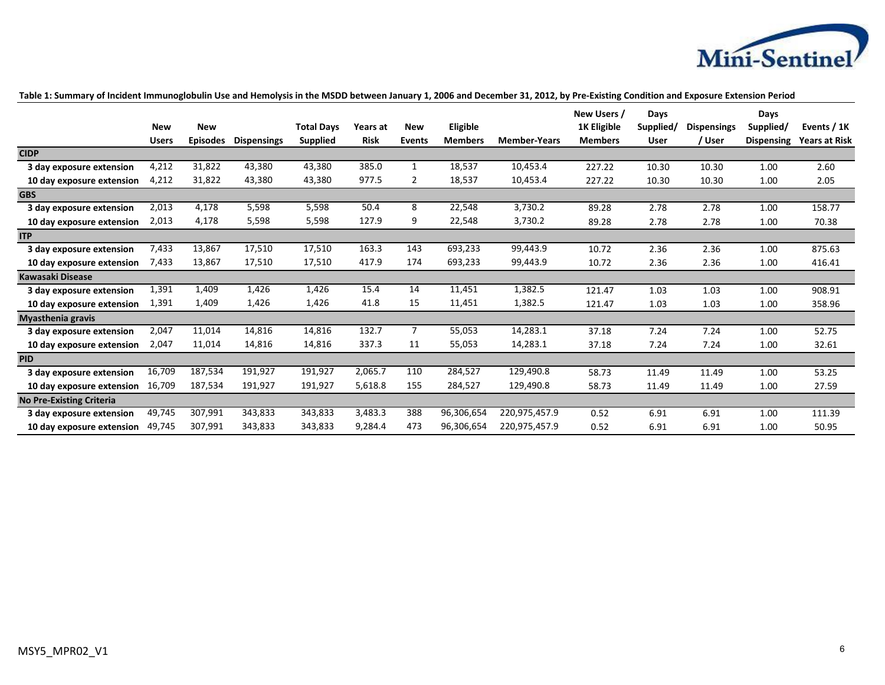

|                                 |              |                 |                    |                   |             |                |                |                     | New Users /    | Days        |                    | Days              |                      |
|---------------------------------|--------------|-----------------|--------------------|-------------------|-------------|----------------|----------------|---------------------|----------------|-------------|--------------------|-------------------|----------------------|
|                                 | <b>New</b>   | <b>New</b>      |                    | <b>Total Davs</b> | Years at    | <b>New</b>     | Eligible       |                     | 1K Eligible    | Supplied/   | <b>Dispensings</b> | Supplied/         | Events / 1K          |
|                                 | <b>Users</b> | <b>Episodes</b> | <b>Dispensings</b> | <b>Supplied</b>   | <b>Risk</b> | <b>Events</b>  | <b>Members</b> | <b>Member-Years</b> | <b>Members</b> | <b>User</b> | / User             | <b>Dispensing</b> | <b>Years at Risk</b> |
| <b>CIDP</b>                     |              |                 |                    |                   |             |                |                |                     |                |             |                    |                   |                      |
| 3 day exposure extension        | 4,212        | 31,822          | 43,380             | 43,380            | 385.0       | 1              | 18,537         | 10,453.4            | 227.22         | 10.30       | 10.30              | 1.00              | 2.60                 |
| 10 day exposure extension       | 4,212        | 31,822          | 43,380             | 43,380            | 977.5       | 2              | 18,537         | 10,453.4            | 227.22         | 10.30       | 10.30              | 1.00              | 2.05                 |
| <b>GBS</b>                      |              |                 |                    |                   |             |                |                |                     |                |             |                    |                   |                      |
| 3 day exposure extension        | 2,013        | 4,178           | 5,598              | 5,598             | 50.4        | 8              | 22,548         | 3,730.2             | 89.28          | 2.78        | 2.78               | 1.00              | 158.77               |
| 10 day exposure extension       | 2,013        | 4,178           | 5,598              | 5,598             | 127.9       | 9              | 22,548         | 3,730.2             | 89.28          | 2.78        | 2.78               | 1.00              | 70.38                |
| <b>ITP</b>                      |              |                 |                    |                   |             |                |                |                     |                |             |                    |                   |                      |
| 3 day exposure extension        | 7,433        | 13,867          | 17,510             | 17,510            | 163.3       | 143            | 693,233        | 99,443.9            | 10.72          | 2.36        | 2.36               | 1.00              | 875.63               |
| 10 day exposure extension       | 7.433        | 13,867          | 17,510             | 17,510            | 417.9       | 174            | 693,233        | 99,443.9            | 10.72          | 2.36        | 2.36               | 1.00              | 416.41               |
| <b>Kawasaki Disease</b>         |              |                 |                    |                   |             |                |                |                     |                |             |                    |                   |                      |
| 3 day exposure extension        | 1,391        | 1,409           | 1,426              | 1,426             | 15.4        | 14             | 11,451         | 1,382.5             | 121.47         | 1.03        | 1.03               | 1.00              | 908.91               |
| 10 day exposure extension       | 1,391        | 1,409           | 1,426              | 1,426             | 41.8        | 15             | 11,451         | 1,382.5             | 121.47         | 1.03        | 1.03               | 1.00              | 358.96               |
| <b>Myasthenia gravis</b>        |              |                 |                    |                   |             |                |                |                     |                |             |                    |                   |                      |
| 3 day exposure extension        | 2,047        | 11,014          | 14,816             | 14,816            | 132.7       | $\overline{7}$ | 55,053         | 14,283.1            | 37.18          | 7.24        | 7.24               | 1.00              | 52.75                |
| 10 day exposure extension       | 2,047        | 11,014          | 14,816             | 14,816            | 337.3       | 11             | 55,053         | 14,283.1            | 37.18          | 7.24        | 7.24               | 1.00              | 32.61                |
| <b>PID</b>                      |              |                 |                    |                   |             |                |                |                     |                |             |                    |                   |                      |
| 3 day exposure extension        | 16,709       | 187,534         | 191,927            | 191,927           | 2,065.7     | 110            | 284,527        | 129,490.8           | 58.73          | 11.49       | 11.49              | 1.00              | 53.25                |
| 10 day exposure extension       | 16.709       | 187,534         | 191,927            | 191,927           | 5,618.8     | 155            | 284,527        | 129,490.8           | 58.73          | 11.49       | 11.49              | 1.00              | 27.59                |
| <b>No Pre-Existing Criteria</b> |              |                 |                    |                   |             |                |                |                     |                |             |                    |                   |                      |
| 3 day exposure extension        | 49,745       | 307,991         | 343,833            | 343,833           | 3,483.3     | 388            | 96.306.654     | 220,975,457.9       | 0.52           | 6.91        | 6.91               | 1.00              | 111.39               |
| 10 day exposure extension       | 49,745       | 307,991         | 343,833            | 343,833           | 9,284.4     | 473            | 96,306,654     | 220,975,457.9       | 0.52           | 6.91        | 6.91               | 1.00              | 50.95                |

### **Table 1: Summary of Incident Immunoglobulin Use and Hemolysis in the MSDD between January 1, 2006 and December 31, 2012, by Pre-Existing Condition and Exposure Extension Period**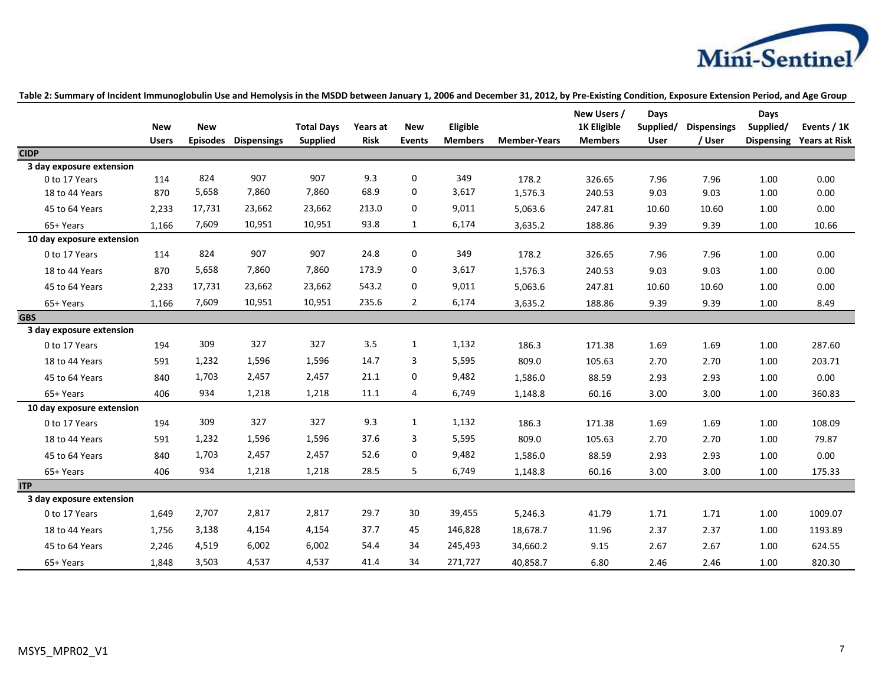

|                           | <b>New</b>   | <b>New</b>      |                    | <b>Total Days</b> | Years at    | <b>New</b>     | Eligible       |                     | New Users /<br>1K Eligible | Days<br>Supplied/ | <b>Dispensings</b> | Days<br>Supplied/ | Events / 1K                     |
|---------------------------|--------------|-----------------|--------------------|-------------------|-------------|----------------|----------------|---------------------|----------------------------|-------------------|--------------------|-------------------|---------------------------------|
|                           | <b>Users</b> | <b>Episodes</b> | <b>Dispensings</b> | <b>Supplied</b>   | <b>Risk</b> | <b>Events</b>  | <b>Members</b> | <b>Member-Years</b> | <b>Members</b>             | <b>User</b>       | / User             |                   | <b>Dispensing Years at Risk</b> |
| <b>CIDP</b>               |              |                 |                    |                   |             |                |                |                     |                            |                   |                    |                   |                                 |
| 3 day exposure extension  |              |                 |                    |                   |             |                |                |                     |                            |                   |                    |                   |                                 |
| 0 to 17 Years             | 114          | 824             | 907                | 907               | 9.3         | 0              | 349            | 178.2               | 326.65                     | 7.96              | 7.96               | 1.00              | 0.00                            |
| 18 to 44 Years            | 870          | 5,658           | 7,860              | 7,860             | 68.9        | 0              | 3,617          | 1,576.3             | 240.53                     | 9.03              | 9.03               | 1.00              | 0.00                            |
| 45 to 64 Years            | 2,233        | 17,731          | 23,662             | 23,662            | 213.0       | 0              | 9,011          | 5,063.6             | 247.81                     | 10.60             | 10.60              | 1.00              | 0.00                            |
| 65+ Years                 | 1,166        | 7,609           | 10,951             | 10,951            | 93.8        | $\mathbf{1}$   | 6,174          | 3,635.2             | 188.86                     | 9.39              | 9.39               | 1.00              | 10.66                           |
| 10 day exposure extension |              |                 |                    |                   |             |                |                |                     |                            |                   |                    |                   |                                 |
| 0 to 17 Years             | 114          | 824             | 907                | 907               | 24.8        | 0              | 349            | 178.2               | 326.65                     | 7.96              | 7.96               | 1.00              | 0.00                            |
| 18 to 44 Years            | 870          | 5,658           | 7,860              | 7,860             | 173.9       | 0              | 3,617          | 1,576.3             | 240.53                     | 9.03              | 9.03               | 1.00              | 0.00                            |
| 45 to 64 Years            | 2.233        | 17,731          | 23,662             | 23,662            | 543.2       | 0              | 9,011          | 5,063.6             | 247.81                     | 10.60             | 10.60              | 1.00              | 0.00                            |
| 65+ Years                 | 1,166        | 7,609           | 10,951             | 10,951            | 235.6       | $\overline{2}$ | 6,174          | 3,635.2             | 188.86                     | 9.39              | 9.39               | 1.00              | 8.49                            |
| <b>GBS</b>                |              |                 |                    |                   |             |                |                |                     |                            |                   |                    |                   |                                 |
| 3 day exposure extension  |              |                 |                    |                   |             |                |                |                     |                            |                   |                    |                   |                                 |
| 0 to 17 Years             | 194          | 309             | 327                | 327               | 3.5         | $\mathbf{1}$   | 1,132          | 186.3               | 171.38                     | 1.69              | 1.69               | 1.00              | 287.60                          |
| 18 to 44 Years            | 591          | 1,232           | 1,596              | 1,596             | 14.7        | 3              | 5,595          | 809.0               | 105.63                     | 2.70              | 2.70               | 1.00              | 203.71                          |
| 45 to 64 Years            | 840          | 1,703           | 2,457              | 2,457             | 21.1        | $\mathbf 0$    | 9,482          | 1,586.0             | 88.59                      | 2.93              | 2.93               | 1.00              | 0.00                            |
| 65+ Years                 | 406          | 934             | 1,218              | 1,218             | 11.1        | 4              | 6,749          | 1,148.8             | 60.16                      | 3.00              | 3.00               | 1.00              | 360.83                          |
| 10 day exposure extension |              |                 |                    |                   |             |                |                |                     |                            |                   |                    |                   |                                 |
| 0 to 17 Years             | 194          | 309             | 327                | 327               | 9.3         | $\mathbf{1}$   | 1,132          | 186.3               | 171.38                     | 1.69              | 1.69               | 1.00              | 108.09                          |
| 18 to 44 Years            | 591          | 1,232           | 1,596              | 1,596             | 37.6        | 3              | 5,595          | 809.0               | 105.63                     | 2.70              | 2.70               | 1.00              | 79.87                           |
| 45 to 64 Years            | 840          | 1,703           | 2,457              | 2,457             | 52.6        | 0              | 9,482          | 1,586.0             | 88.59                      | 2.93              | 2.93               | 1.00              | 0.00                            |
| 65+ Years                 | 406          | 934             | 1,218              | 1,218             | 28.5        | 5              | 6,749          | 1,148.8             | 60.16                      | 3.00              | 3.00               | 1.00              | 175.33                          |
| <b>ITP</b>                |              |                 |                    |                   |             |                |                |                     |                            |                   |                    |                   |                                 |
| 3 day exposure extension  |              |                 |                    |                   |             |                |                |                     |                            |                   |                    |                   |                                 |
| 0 to 17 Years             | 1,649        | 2,707           | 2,817              | 2,817             | 29.7        | 30             | 39,455         | 5,246.3             | 41.79                      | 1.71              | 1.71               | 1.00              | 1009.07                         |
| 18 to 44 Years            | 1,756        | 3,138           | 4,154              | 4,154             | 37.7        | 45             | 146,828        | 18,678.7            | 11.96                      | 2.37              | 2.37               | 1.00              | 1193.89                         |
| 45 to 64 Years            | 2,246        | 4,519           | 6,002              | 6,002             | 54.4        | 34             | 245,493        | 34,660.2            | 9.15                       | 2.67              | 2.67               | 1.00              | 624.55                          |
| 65+ Years                 | 1,848        | 3,503           | 4,537              | 4,537             | 41.4        | 34             | 271,727        | 40,858.7            | 6.80                       | 2.46              | 2.46               | 1.00              | 820.30                          |

**Table 2: Summary of Incident Immunoglobulin Use and Hemolysis in the MSDD between January 1, 2006 and December 31, 2012, by Pre-Existing Condition, Exposure Extension Period, and Age Group**

MSY5\_MPR02\_V1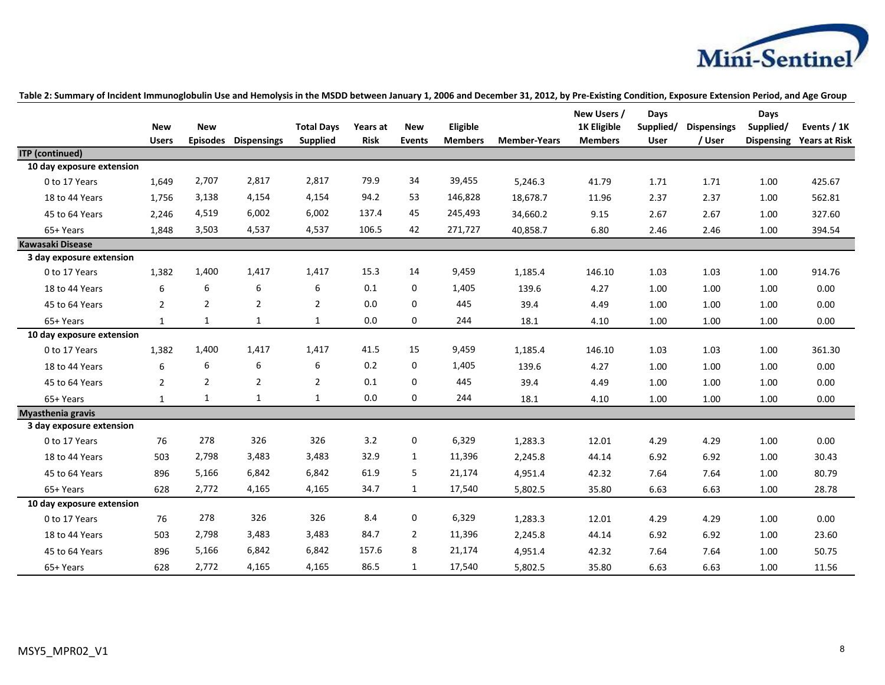

|                           |                            |                               |                    |                                      |                         |                             |                            |                     | New Users /                          | Days              |                              | Days                           |                                     |
|---------------------------|----------------------------|-------------------------------|--------------------|--------------------------------------|-------------------------|-----------------------------|----------------------------|---------------------|--------------------------------------|-------------------|------------------------------|--------------------------------|-------------------------------------|
|                           | <b>New</b><br><b>Users</b> | <b>New</b><br><b>Episodes</b> | <b>Dispensings</b> | <b>Total Days</b><br><b>Supplied</b> | Years at<br><b>Risk</b> | <b>New</b><br><b>Events</b> | Eligible<br><b>Members</b> | <b>Member-Years</b> | <b>1K Eligible</b><br><b>Members</b> | Supplied/<br>User | <b>Dispensings</b><br>/ User | Supplied/<br><b>Dispensing</b> | Events / 1K<br><b>Years at Risk</b> |
| <b>ITP</b> (continued)    |                            |                               |                    |                                      |                         |                             |                            |                     |                                      |                   |                              |                                |                                     |
| 10 day exposure extension |                            |                               |                    |                                      |                         |                             |                            |                     |                                      |                   |                              |                                |                                     |
| 0 to 17 Years             | 1,649                      | 2,707                         | 2,817              | 2,817                                | 79.9                    | 34                          | 39,455                     | 5,246.3             | 41.79                                | 1.71              | 1.71                         | 1.00                           | 425.67                              |
| 18 to 44 Years            | 1,756                      | 3,138                         | 4,154              | 4,154                                | 94.2                    | 53                          | 146,828                    | 18,678.7            | 11.96                                | 2.37              | 2.37                         | 1.00                           | 562.81                              |
| 45 to 64 Years            | 2,246                      | 4,519                         | 6,002              | 6,002                                | 137.4                   | 45                          | 245,493                    | 34,660.2            | 9.15                                 | 2.67              | 2.67                         | 1.00                           | 327.60                              |
| 65+ Years                 | 1,848                      | 3,503                         | 4,537              | 4,537                                | 106.5                   | 42                          | 271,727                    | 40,858.7            | 6.80                                 | 2.46              | 2.46                         | 1.00                           | 394.54                              |
| <b>Kawasaki Disease</b>   |                            |                               |                    |                                      |                         |                             |                            |                     |                                      |                   |                              |                                |                                     |
| 3 day exposure extension  |                            |                               |                    |                                      |                         |                             |                            |                     |                                      |                   |                              |                                |                                     |
| 0 to 17 Years             | 1,382                      | 1,400                         | 1,417              | 1,417                                | 15.3                    | 14                          | 9,459                      | 1,185.4             | 146.10                               | 1.03              | 1.03                         | 1.00                           | 914.76                              |
| 18 to 44 Years            | 6                          | 6                             | 6                  | 6                                    | 0.1                     | $\mathbf{0}$                | 1,405                      | 139.6               | 4.27                                 | 1.00              | 1.00                         | 1.00                           | 0.00                                |
| 45 to 64 Years            | $\overline{2}$             | $\overline{2}$                | $\overline{2}$     | $\overline{2}$                       | 0.0                     | $\Omega$                    | 445                        | 39.4                | 4.49                                 | 1.00              | 1.00                         | 1.00                           | 0.00                                |
| 65+ Years                 | $\mathbf{1}$               | $\mathbf{1}$                  | $\mathbf{1}$       | $\mathbf{1}$                         | 0.0                     | $\mathbf 0$                 | 244                        | 18.1                | 4.10                                 | 1.00              | 1.00                         | 1.00                           | 0.00                                |
| 10 day exposure extension |                            |                               |                    |                                      |                         |                             |                            |                     |                                      |                   |                              |                                |                                     |
| 0 to 17 Years             | 1,382                      | 1,400                         | 1,417              | 1,417                                | 41.5                    | 15                          | 9,459                      | 1,185.4             | 146.10                               | 1.03              | 1.03                         | 1.00                           | 361.30                              |
| 18 to 44 Years            | 6                          | 6                             | 6                  | 6                                    | 0.2                     | $\mathbf{0}$                | 1,405                      | 139.6               | 4.27                                 | 1.00              | 1.00                         | 1.00                           | 0.00                                |
| 45 to 64 Years            | $\overline{2}$             | $\overline{2}$                | $\overline{2}$     | $\overline{2}$                       | 0.1                     | $\Omega$                    | 445                        | 39.4                | 4.49                                 | 1.00              | 1.00                         | 1.00                           | 0.00                                |
| 65+ Years                 | $\mathbf{1}$               | $\mathbf{1}$                  | $\mathbf{1}$       | $\mathbf{1}$                         | 0.0                     | 0                           | 244                        | 18.1                | 4.10                                 | 1.00              | 1.00                         | 1.00                           | 0.00                                |
| <b>Myasthenia gravis</b>  |                            |                               |                    |                                      |                         |                             |                            |                     |                                      |                   |                              |                                |                                     |
| 3 day exposure extension  |                            |                               |                    |                                      |                         |                             |                            |                     |                                      |                   |                              |                                |                                     |
| 0 to 17 Years             | 76                         | 278                           | 326                | 326                                  | 3.2                     | 0                           | 6,329                      | 1,283.3             | 12.01                                | 4.29              | 4.29                         | 1.00                           | 0.00                                |
| 18 to 44 Years            | 503                        | 2,798                         | 3,483              | 3,483                                | 32.9                    | 1                           | 11,396                     | 2,245.8             | 44.14                                | 6.92              | 6.92                         | 1.00                           | 30.43                               |
| 45 to 64 Years            | 896                        | 5,166                         | 6,842              | 6,842                                | 61.9                    | 5                           | 21,174                     | 4,951.4             | 42.32                                | 7.64              | 7.64                         | 1.00                           | 80.79                               |
| 65+ Years                 | 628                        | 2,772                         | 4,165              | 4,165                                | 34.7                    | 1                           | 17,540                     | 5,802.5             | 35.80                                | 6.63              | 6.63                         | 1.00                           | 28.78                               |
| 10 day exposure extension |                            |                               |                    |                                      |                         |                             |                            |                     |                                      |                   |                              |                                |                                     |
| 0 to 17 Years             | 76                         | 278                           | 326                | 326                                  | 8.4                     | 0                           | 6,329                      | 1,283.3             | 12.01                                | 4.29              | 4.29                         | 1.00                           | 0.00                                |
| 18 to 44 Years            | 503                        | 2,798                         | 3,483              | 3,483                                | 84.7                    | $\overline{2}$              | 11,396                     | 2,245.8             | 44.14                                | 6.92              | 6.92                         | 1.00                           | 23.60                               |
| 45 to 64 Years            | 896                        | 5,166                         | 6,842              | 6,842                                | 157.6                   | 8                           | 21,174                     | 4,951.4             | 42.32                                | 7.64              | 7.64                         | 1.00                           | 50.75                               |
| 65+ Years                 | 628                        | 2,772                         | 4,165              | 4,165                                | 86.5                    | $\mathbf{1}$                | 17,540                     | 5,802.5             | 35.80                                | 6.63              | 6.63                         | 1.00                           | 11.56                               |

**Table 2: Summary of Incident Immunoglobulin Use and Hemolysis in the MSDD between January 1, 2006 and December 31, 2012, by Pre-Existing Condition, Exposure Extension Period, and Age Group**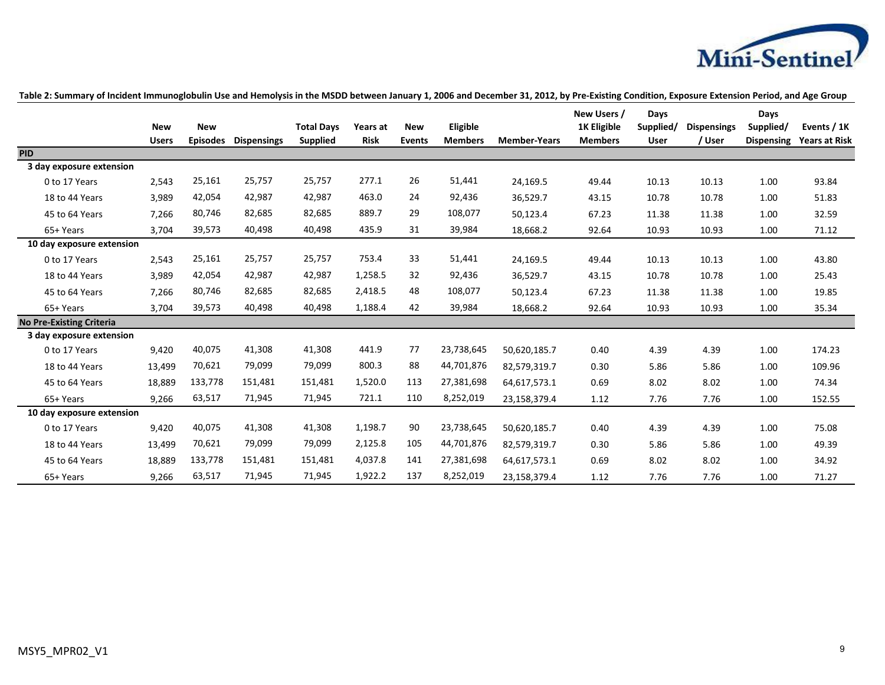

|                                 | <b>New</b>   | <b>New</b>      |                    | <b>Total Days</b> | Years at    | <b>New</b>    | Eligible       |                     | New Users /<br><b>1K Eligible</b> | Days<br>Supplied/ | <b>Dispensings</b> | Days<br>Supplied/ | Events / 1K          |
|---------------------------------|--------------|-----------------|--------------------|-------------------|-------------|---------------|----------------|---------------------|-----------------------------------|-------------------|--------------------|-------------------|----------------------|
|                                 | <b>Users</b> | <b>Episodes</b> | <b>Dispensings</b> | <b>Supplied</b>   | <b>Risk</b> | <b>Events</b> | <b>Members</b> | <b>Member-Years</b> | <b>Members</b>                    | <b>User</b>       | / User             | <b>Dispensing</b> | <b>Years at Risk</b> |
| <b>PID</b>                      |              |                 |                    |                   |             |               |                |                     |                                   |                   |                    |                   |                      |
| 3 day exposure extension        |              |                 |                    |                   |             |               |                |                     |                                   |                   |                    |                   |                      |
| 0 to 17 Years                   | 2,543        | 25,161          | 25,757             | 25,757            | 277.1       | 26            | 51,441         | 24,169.5            | 49.44                             | 10.13             | 10.13              | 1.00              | 93.84                |
| 18 to 44 Years                  | 3,989        | 42,054          | 42,987             | 42,987            | 463.0       | 24            | 92,436         | 36,529.7            | 43.15                             | 10.78             | 10.78              | 1.00              | 51.83                |
| 45 to 64 Years                  | 7,266        | 80,746          | 82,685             | 82,685            | 889.7       | 29            | 108,077        | 50,123.4            | 67.23                             | 11.38             | 11.38              | 1.00              | 32.59                |
| 65+ Years                       | 3,704        | 39,573          | 40,498             | 40,498            | 435.9       | 31            | 39,984         | 18,668.2            | 92.64                             | 10.93             | 10.93              | 1.00              | 71.12                |
| 10 day exposure extension       |              |                 |                    |                   |             |               |                |                     |                                   |                   |                    |                   |                      |
| 0 to 17 Years                   | 2,543        | 25,161          | 25,757             | 25,757            | 753.4       | 33            | 51,441         | 24,169.5            | 49.44                             | 10.13             | 10.13              | 1.00              | 43.80                |
| 18 to 44 Years                  | 3,989        | 42,054          | 42,987             | 42,987            | 1,258.5     | 32            | 92,436         | 36,529.7            | 43.15                             | 10.78             | 10.78              | 1.00              | 25.43                |
| 45 to 64 Years                  | 7,266        | 80,746          | 82,685             | 82,685            | 2,418.5     | 48            | 108,077        | 50,123.4            | 67.23                             | 11.38             | 11.38              | 1.00              | 19.85                |
| 65+ Years                       | 3,704        | 39,573          | 40,498             | 40,498            | 1,188.4     | 42            | 39,984         | 18,668.2            | 92.64                             | 10.93             | 10.93              | 1.00              | 35.34                |
| <b>No Pre-Existing Criteria</b> |              |                 |                    |                   |             |               |                |                     |                                   |                   |                    |                   |                      |
| 3 day exposure extension        |              |                 |                    |                   |             |               |                |                     |                                   |                   |                    |                   |                      |
| 0 to 17 Years                   | 9,420        | 40,075          | 41,308             | 41,308            | 441.9       | 77            | 23,738,645     | 50,620,185.7        | 0.40                              | 4.39              | 4.39               | 1.00              | 174.23               |
| 18 to 44 Years                  | 13,499       | 70,621          | 79,099             | 79,099            | 800.3       | 88            | 44,701,876     | 82,579,319.7        | 0.30                              | 5.86              | 5.86               | 1.00              | 109.96               |
| 45 to 64 Years                  | 18,889       | 133,778         | 151,481            | 151,481           | 1,520.0     | 113           | 27,381,698     | 64,617,573.1        | 0.69                              | 8.02              | 8.02               | 1.00              | 74.34                |
| 65+ Years                       | 9,266        | 63,517          | 71,945             | 71,945            | 721.1       | 110           | 8,252,019      | 23,158,379.4        | 1.12                              | 7.76              | 7.76               | 1.00              | 152.55               |
| 10 day exposure extension       |              |                 |                    |                   |             |               |                |                     |                                   |                   |                    |                   |                      |
| 0 to 17 Years                   | 9,420        | 40,075          | 41,308             | 41,308            | 1,198.7     | 90            | 23,738,645     | 50,620,185.7        | 0.40                              | 4.39              | 4.39               | 1.00              | 75.08                |
| 18 to 44 Years                  | 13,499       | 70,621          | 79,099             | 79,099            | 2,125.8     | 105           | 44,701,876     | 82,579,319.7        | 0.30                              | 5.86              | 5.86               | 1.00              | 49.39                |
| 45 to 64 Years                  | 18,889       | 133,778         | 151,481            | 151,481           | 4,037.8     | 141           | 27,381,698     | 64,617,573.1        | 0.69                              | 8.02              | 8.02               | 1.00              | 34.92                |
| 65+ Years                       | 9,266        | 63,517          | 71,945             | 71,945            | 1,922.2     | 137           | 8,252,019      | 23,158,379.4        | 1.12                              | 7.76              | 7.76               | 1.00              | 71.27                |

### **Table 2: Summary of Incident Immunoglobulin Use and Hemolysis in the MSDD between January 1, 2006 and December 31, 2012, by Pre-Existing Condition, Exposure Extension Period, and Age Group**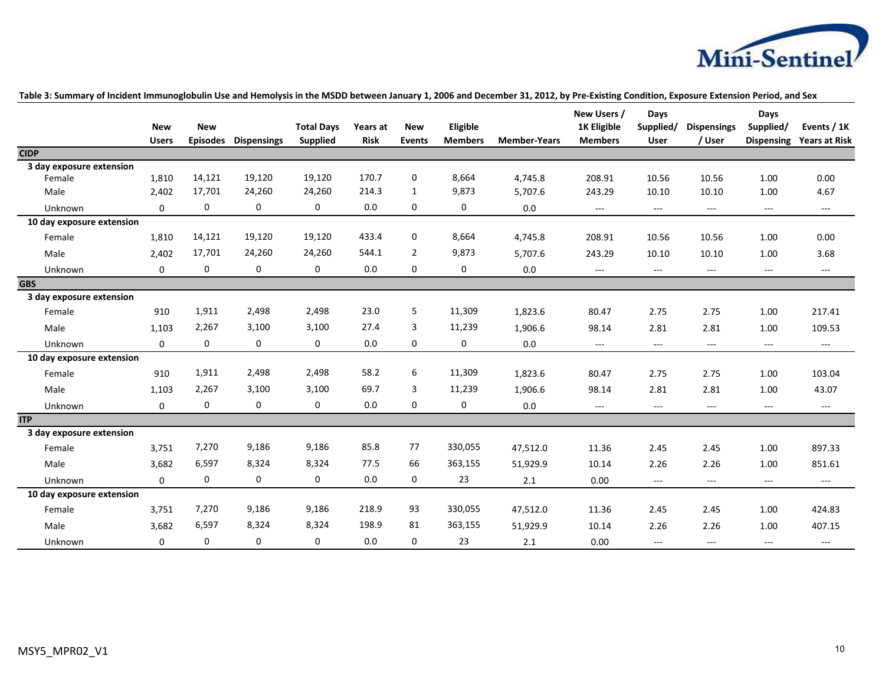

|                           | <b>New</b>   | <b>New</b>      |                    | <b>Total Days</b> | Years at    | <b>New</b>     | Eligible       |                     | New Users /<br><b>1K Eligible</b> | Days<br>Supplied/ | <b>Dispensings</b> | Days<br>Supplied/   | Events / 1K          |
|---------------------------|--------------|-----------------|--------------------|-------------------|-------------|----------------|----------------|---------------------|-----------------------------------|-------------------|--------------------|---------------------|----------------------|
|                           | <b>Users</b> | <b>Episodes</b> | <b>Dispensings</b> | <b>Supplied</b>   | <b>Risk</b> | <b>Events</b>  | <b>Members</b> | <b>Member-Years</b> | <b>Members</b>                    | User              | / User             | <b>Dispensing</b>   | <b>Years at Risk</b> |
| <b>CIDP</b>               |              |                 |                    |                   |             |                |                |                     |                                   |                   |                    |                     |                      |
| 3 day exposure extension  |              |                 |                    |                   |             |                |                |                     |                                   |                   |                    |                     |                      |
| Female                    | 1,810        | 14,121          | 19,120             | 19,120            | 170.7       | $\mathbf 0$    | 8,664          | 4,745.8             | 208.91                            | 10.56             | 10.56              | 1.00                | 0.00                 |
| Male                      | 2,402        | 17,701          | 24,260             | 24,260            | 214.3       | $\mathbf{1}$   | 9,873          | 5,707.6             | 243.29                            | 10.10             | 10.10              | 1.00                | 4.67                 |
| Unknown                   | $\mathbf 0$  | $\mathbf 0$     | 0                  | 0                 | 0.0         | $\mathbf 0$    | 0              | $0.0\,$             | $\cdots$                          | $---$             | ---                | $---$               | $\scriptstyle\cdots$ |
| 10 day exposure extension |              |                 |                    |                   |             |                |                |                     |                                   |                   |                    |                     |                      |
| Female                    | 1,810        | 14,121          | 19,120             | 19,120            | 433.4       | $\mathbf 0$    | 8,664          | 4,745.8             | 208.91                            | 10.56             | 10.56              | 1.00                | 0.00                 |
| Male                      | 2,402        | 17,701          | 24,260             | 24,260            | 544.1       | $\overline{2}$ | 9,873          | 5,707.6             | 243.29                            | 10.10             | 10.10              | 1.00                | 3.68                 |
| Unknown                   | 0            | 0               | 0                  | 0                 | 0.0         | 0              | 0              | 0.0                 | $---$                             | $---$             | $---$              | $\cdots$            | $\overline{a}$       |
| <b>GBS</b>                |              |                 |                    |                   |             |                |                |                     |                                   |                   |                    |                     |                      |
| 3 day exposure extension  |              |                 |                    |                   |             |                |                |                     |                                   |                   |                    |                     |                      |
| Female                    | 910          | 1,911           | 2,498              | 2,498             | 23.0        | 5              | 11,309         | 1,823.6             | 80.47                             | 2.75              | 2.75               | 1.00                | 217.41               |
| Male                      | 1,103        | 2,267           | 3,100              | 3,100             | 27.4        | 3              | 11,239         | 1,906.6             | 98.14                             | 2.81              | 2.81               | 1.00                | 109.53               |
| Unknown                   | 0            | $\mathbf 0$     | 0                  | 0                 | 0.0         | 0              | 0              | 0.0                 | ---                               | $\cdots$          | ---                | $\cdots$            | $\cdots$             |
| 10 day exposure extension |              |                 |                    |                   |             |                |                |                     |                                   |                   |                    |                     |                      |
| Female                    | 910          | 1,911           | 2,498              | 2,498             | 58.2        | 6              | 11,309         | 1,823.6             | 80.47                             | 2.75              | 2.75               | 1.00                | 103.04               |
| Male                      | 1,103        | 2,267           | 3,100              | 3,100             | 69.7        | 3              | 11,239         | 1,906.6             | 98.14                             | 2.81              | 2.81               | 1.00                | 43.07                |
| <b>Unknown</b>            | $\mathbf 0$  | 0               | 0                  | 0                 | 0.0         | $\mathbf 0$    | 0              | 0.0                 | $---$                             | $\cdots$          | $---$              | $\cdots$            | $---$                |
| <b>ITP</b>                |              |                 |                    |                   |             |                |                |                     |                                   |                   |                    |                     |                      |
| 3 day exposure extension  |              |                 |                    |                   |             |                |                |                     |                                   |                   |                    |                     |                      |
| Female                    | 3,751        | 7,270           | 9,186              | 9,186             | 85.8        | 77             | 330,055        | 47,512.0            | 11.36                             | 2.45              | 2.45               | 1.00                | 897.33               |
| Male                      | 3,682        | 6,597           | 8,324              | 8,324             | 77.5        | 66             | 363,155        | 51,929.9            | 10.14                             | 2.26              | 2.26               | 1.00                | 851.61               |
| Unknown                   | $\mathbf 0$  | 0               | 0                  | 0                 | 0.0         | 0              | 23             | 2.1                 | 0.00                              | $\cdots$          | $---$              | $\qquad \qquad - -$ | $\scriptstyle\cdots$ |
| 10 day exposure extension |              |                 |                    |                   |             |                |                |                     |                                   |                   |                    |                     |                      |
| Female                    | 3,751        | 7,270           | 9,186              | 9,186             | 218.9       | 93             | 330,055        | 47,512.0            | 11.36                             | 2.45              | 2.45               | 1.00                | 424.83               |
| Male                      | 3,682        | 6,597           | 8,324              | 8,324             | 198.9       | 81             | 363,155        | 51,929.9            | 10.14                             | 2.26              | 2.26               | 1.00                | 407.15               |
| Unknown                   | $\Omega$     | $\mathbf 0$     | 0                  | 0                 | 0.0         | $\Omega$       | 23             | 2.1                 | 0.00                              | $\overline{a}$    | ---                | $\cdots$            | $---$                |

### **Table 3: Summary of Incident Immunoglobulin Use and Hemolysis in the MSDD between January 1, 2006 and December 31, 2012, by Pre-Existing Condition, Exposure Extension Period, and Sex**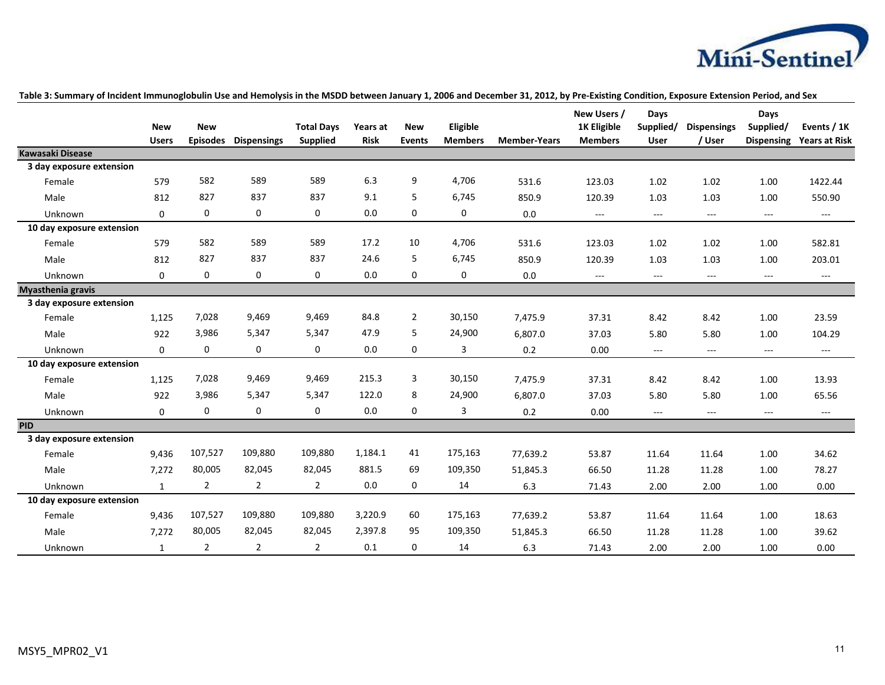

|                           |              |                 |                    |                   |             |                |                |                     | New Users /        | Days                     |                                          | Days              |                      |
|---------------------------|--------------|-----------------|--------------------|-------------------|-------------|----------------|----------------|---------------------|--------------------|--------------------------|------------------------------------------|-------------------|----------------------|
|                           | <b>New</b>   | <b>New</b>      |                    | <b>Total Days</b> | Years at    | <b>New</b>     | Eligible       |                     | <b>1K Eligible</b> | Supplied/                | <b>Dispensings</b>                       | Supplied/         | Events / 1K          |
|                           | <b>Users</b> | <b>Episodes</b> | <b>Dispensings</b> | <b>Supplied</b>   | <b>Risk</b> | <b>Events</b>  | <b>Members</b> | <b>Member-Years</b> | <b>Members</b>     | <b>User</b>              | / User                                   | <b>Dispensing</b> | <b>Years at Risk</b> |
| <b>Kawasaki Disease</b>   |              |                 |                    |                   |             |                |                |                     |                    |                          |                                          |                   |                      |
| 3 day exposure extension  |              |                 |                    |                   |             |                |                |                     |                    |                          |                                          |                   |                      |
| Female                    | 579          | 582             | 589                | 589               | 6.3         | 9              | 4,706          | 531.6               | 123.03             | 1.02                     | 1.02                                     | 1.00              | 1422.44              |
| Male                      | 812          | 827             | 837                | 837               | 9.1         | 5              | 6,745          | 850.9               | 120.39             | 1.03                     | 1.03                                     | 1.00              | 550.90               |
| Unknown                   | $\mathbf 0$  | 0               | 0                  | 0                 | 0.0         | $\mathbf{0}$   | 0              | $0.0\,$             | ---                | $\overline{a}$           | $\hspace{0.05cm} \ldots \hspace{0.05cm}$ | $---$             | $\cdots$             |
| 10 day exposure extension |              |                 |                    |                   |             |                |                |                     |                    |                          |                                          |                   |                      |
| Female                    | 579          | 582             | 589                | 589               | 17.2        | 10             | 4,706          | 531.6               | 123.03             | 1.02                     | 1.02                                     | 1.00              | 582.81               |
| Male                      | 812          | 827             | 837                | 837               | 24.6        | 5              | 6,745          | 850.9               | 120.39             | 1.03                     | 1.03                                     | 1.00              | 203.01               |
| Unknown                   | $\mathbf 0$  | 0               | 0                  | 0                 | 0.0         | $\mathbf 0$    | 0              | 0.0                 | ---                | $---$                    | $\hspace{0.05cm} \ldots$                 | $---$             | $---$                |
| Myasthenia gravis         |              |                 |                    |                   |             |                |                |                     |                    |                          |                                          |                   |                      |
| 3 day exposure extension  |              |                 |                    |                   |             |                |                |                     |                    |                          |                                          |                   |                      |
| Female                    | 1,125        | 7,028           | 9,469              | 9,469             | 84.8        | $\overline{2}$ | 30,150         | 7,475.9             | 37.31              | 8.42                     | 8.42                                     | 1.00              | 23.59                |
| Male                      | 922          | 3,986           | 5,347              | 5,347             | 47.9        | 5              | 24,900         | 6,807.0             | 37.03              | 5.80                     | 5.80                                     | 1.00              | 104.29               |
| Unknown                   | $\mathbf 0$  | 0               | $\mathbf 0$        | 0                 | 0.0         | $\mathbf{0}$   | 3              | 0.2                 | 0.00               | $\overline{\phantom{a}}$ | $\cdots$                                 | $---$             | $---$                |
| 10 day exposure extension |              |                 |                    |                   |             |                |                |                     |                    |                          |                                          |                   |                      |
| Female                    | 1,125        | 7,028           | 9,469              | 9,469             | 215.3       | 3              | 30,150         | 7,475.9             | 37.31              | 8.42                     | 8.42                                     | 1.00              | 13.93                |
| Male                      | 922          | 3,986           | 5,347              | 5,347             | 122.0       | 8              | 24,900         | 6,807.0             | 37.03              | 5.80                     | 5.80                                     | 1.00              | 65.56                |
| Unknown                   | $\mathbf 0$  | 0               | 0                  | 0                 | 0.0         | $\mathbf 0$    | 3              | 0.2                 | 0.00               | $\sim$ $\sim$            | $\overline{a}$                           | ---               | $\hspace{0.05cm}---$ |
| <b>PID</b>                |              |                 |                    |                   |             |                |                |                     |                    |                          |                                          |                   |                      |
| 3 day exposure extension  |              |                 |                    |                   |             |                |                |                     |                    |                          |                                          |                   |                      |
| Female                    | 9,436        | 107,527         | 109,880            | 109,880           | 1,184.1     | 41             | 175,163        | 77,639.2            | 53.87              | 11.64                    | 11.64                                    | 1.00              | 34.62                |
| Male                      | 7,272        | 80,005          | 82,045             | 82,045            | 881.5       | 69             | 109,350        | 51,845.3            | 66.50              | 11.28                    | 11.28                                    | 1.00              | 78.27                |
| Unknown                   | $\mathbf{1}$ | $\overline{2}$  | $\overline{2}$     | $\overline{2}$    | 0.0         | $\mathbf 0$    | 14             | 6.3                 | 71.43              | 2.00                     | 2.00                                     | 1.00              | 0.00                 |
| 10 day exposure extension |              |                 |                    |                   |             |                |                |                     |                    |                          |                                          |                   |                      |
| Female                    | 9,436        | 107,527         | 109,880            | 109,880           | 3,220.9     | 60             | 175,163        | 77,639.2            | 53.87              | 11.64                    | 11.64                                    | 1.00              | 18.63                |
| Male                      | 7,272        | 80,005          | 82,045             | 82,045            | 2,397.8     | 95             | 109,350        | 51,845.3            | 66.50              | 11.28                    | 11.28                                    | 1.00              | 39.62                |
| Unknown                   | $\mathbf{1}$ | $\overline{2}$  | $\overline{2}$     | $\overline{2}$    | 0.1         | $\mathbf{0}$   | 14             | 6.3                 | 71.43              | 2.00                     | 2.00                                     | 1.00              | 0.00                 |

### **Table 3: Summary of Incident Immunoglobulin Use and Hemolysis in the MSDD between January 1, 2006 and December 31, 2012, by Pre-Existing Condition, Exposure Extension Period, and Sex**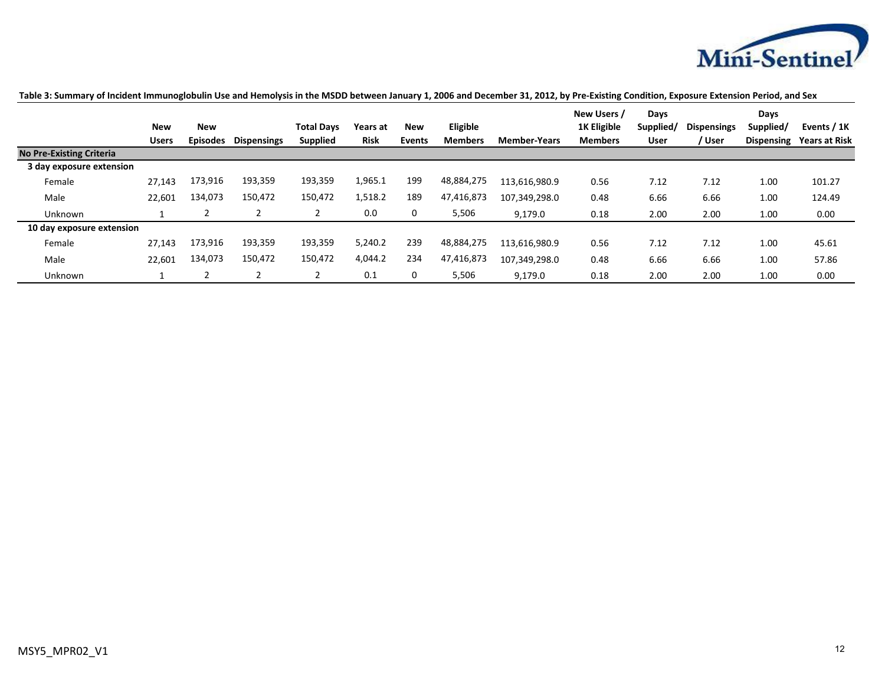

|                                 |              |                 |                    |                   |             |            |                |                     | New Users /    | Days      |                    | Days              |                      |
|---------------------------------|--------------|-----------------|--------------------|-------------------|-------------|------------|----------------|---------------------|----------------|-----------|--------------------|-------------------|----------------------|
|                                 | <b>New</b>   | <b>New</b>      |                    | <b>Total Davs</b> | Years at    | <b>New</b> | Eligible       |                     | 1K Eligible    | Supplied/ | <b>Dispensings</b> | Supplied/         | Events / 1K          |
|                                 | <b>Users</b> | <b>Episodes</b> | <b>Dispensings</b> | <b>Supplied</b>   | <b>Risk</b> | Events     | <b>Members</b> | <b>Member-Years</b> | <b>Members</b> | User      | / User             | <b>Dispensing</b> | <b>Years at Risk</b> |
| <b>No Pre-Existing Criteria</b> |              |                 |                    |                   |             |            |                |                     |                |           |                    |                   |                      |
| 3 day exposure extension        |              |                 |                    |                   |             |            |                |                     |                |           |                    |                   |                      |
| Female                          | 27,143       | 173,916         | 193,359            | 193,359           | 1,965.1     | 199        | 48,884,275     | 113,616,980.9       | 0.56           | 7.12      | 7.12               | 1.00              | 101.27               |
| Male                            | 22,601       | 134,073         | 150,472            | 150,472           | 1,518.2     | 189        | 47,416,873     | 107,349,298.0       | 0.48           | 6.66      | 6.66               | 1.00              | 124.49               |
| Unknown                         |              |                 |                    |                   | 0.0         | 0          | 5,506          | 9,179.0             | 0.18           | 2.00      | 2.00               | 1.00              | 0.00                 |
| 10 day exposure extension       |              |                 |                    |                   |             |            |                |                     |                |           |                    |                   |                      |
| Female                          | 27,143       | 173,916         | 193,359            | 193,359           | 5,240.2     | 239        | 48,884,275     | 113,616,980.9       | 0.56           | 7.12      | 7.12               | 1.00              | 45.61                |
| Male                            | 22,601       | 134,073         | 150,472            | 150,472           | 4,044.2     | 234        | 47,416,873     | 107,349,298.0       | 0.48           | 6.66      | 6.66               | 1.00              | 57.86                |
| Unknown                         |              |                 |                    |                   | 0.1         | 0          | 5,506          | 9.179.0             | 0.18           | 2.00      | 2.00               | 1.00              | 0.00                 |

### **Table 3: Summary of Incident Immunoglobulin Use and Hemolysis in the MSDD between January 1, 2006 and December 31, 2012, by Pre-Existing Condition, Exposure Extension Period, and Sex**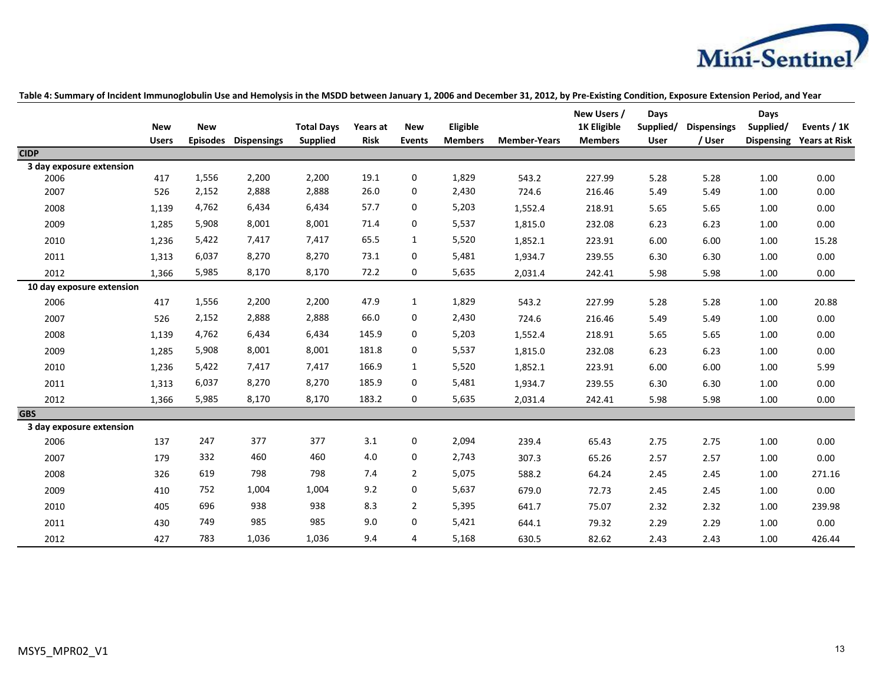

|                           | <b>New</b><br><b>Users</b> | <b>New</b><br><b>Episodes</b> | <b>Dispensings</b> | <b>Total Days</b><br>Supplied | Years at<br>Risk | <b>New</b><br><b>Events</b> | Eligible<br><b>Members</b> | <b>Member-Years</b> | New Users /<br>1K Eligible<br><b>Members</b> | Days<br>Supplied/<br>User | <b>Dispensings</b><br>/ User | Days<br>Supplied/<br><b>Dispensing</b> | Events / 1K<br><b>Years at Risk</b> |
|---------------------------|----------------------------|-------------------------------|--------------------|-------------------------------|------------------|-----------------------------|----------------------------|---------------------|----------------------------------------------|---------------------------|------------------------------|----------------------------------------|-------------------------------------|
| <b>CIDP</b>               |                            |                               |                    |                               |                  |                             |                            |                     |                                              |                           |                              |                                        |                                     |
| 3 day exposure extension  |                            |                               |                    |                               |                  |                             |                            |                     |                                              |                           |                              |                                        |                                     |
| 2006                      | 417                        | 1,556                         | 2,200              | 2,200                         | 19.1             | 0                           | 1,829                      | 543.2               | 227.99                                       | 5.28                      | 5.28                         | 1.00                                   | 0.00                                |
| 2007                      | 526                        | 2,152                         | 2,888              | 2,888                         | 26.0             | 0                           | 2,430                      | 724.6               | 216.46                                       | 5.49                      | 5.49                         | 1.00                                   | 0.00                                |
| 2008                      | 1,139                      | 4,762                         | 6,434              | 6,434                         | 57.7             | 0                           | 5,203                      | 1,552.4             | 218.91                                       | 5.65                      | 5.65                         | 1.00                                   | 0.00                                |
| 2009                      | 1,285                      | 5,908                         | 8,001              | 8,001                         | 71.4             | 0                           | 5,537                      | 1,815.0             | 232.08                                       | 6.23                      | 6.23                         | 1.00                                   | 0.00                                |
| 2010                      | 1,236                      | 5,422                         | 7,417              | 7,417                         | 65.5             | 1                           | 5,520                      | 1,852.1             | 223.91                                       | 6.00                      | 6.00                         | 1.00                                   | 15.28                               |
| 2011                      | 1,313                      | 6,037                         | 8,270              | 8,270                         | 73.1             | 0                           | 5,481                      | 1,934.7             | 239.55                                       | 6.30                      | 6.30                         | 1.00                                   | 0.00                                |
| 2012                      | 1,366                      | 5,985                         | 8,170              | 8,170                         | 72.2             | 0                           | 5,635                      | 2,031.4             | 242.41                                       | 5.98                      | 5.98                         | 1.00                                   | 0.00                                |
| 10 day exposure extension |                            |                               |                    |                               |                  |                             |                            |                     |                                              |                           |                              |                                        |                                     |
| 2006                      | 417                        | 1,556                         | 2,200              | 2,200                         | 47.9             | 1                           | 1,829                      | 543.2               | 227.99                                       | 5.28                      | 5.28                         | 1.00                                   | 20.88                               |
| 2007                      | 526                        | 2,152                         | 2,888              | 2,888                         | 66.0             | 0                           | 2,430                      | 724.6               | 216.46                                       | 5.49                      | 5.49                         | 1.00                                   | 0.00                                |
| 2008                      | 1,139                      | 4,762                         | 6,434              | 6,434                         | 145.9            | 0                           | 5,203                      | 1,552.4             | 218.91                                       | 5.65                      | 5.65                         | 1.00                                   | 0.00                                |
| 2009                      | 1,285                      | 5,908                         | 8,001              | 8,001                         | 181.8            | $\mathbf{0}$                | 5,537                      | 1,815.0             | 232.08                                       | 6.23                      | 6.23                         | 1.00                                   | 0.00                                |
| 2010                      | 1,236                      | 5,422                         | 7,417              | 7,417                         | 166.9            | 1                           | 5,520                      | 1,852.1             | 223.91                                       | 6.00                      | 6.00                         | 1.00                                   | 5.99                                |
| 2011                      | 1,313                      | 6,037                         | 8,270              | 8,270                         | 185.9            | 0                           | 5,481                      | 1,934.7             | 239.55                                       | 6.30                      | 6.30                         | 1.00                                   | 0.00                                |
| 2012                      | 1,366                      | 5,985                         | 8,170              | 8,170                         | 183.2            | 0                           | 5,635                      | 2,031.4             | 242.41                                       | 5.98                      | 5.98                         | 1.00                                   | 0.00                                |
| <b>GBS</b>                |                            |                               |                    |                               |                  |                             |                            |                     |                                              |                           |                              |                                        |                                     |
| 3 day exposure extension  |                            |                               |                    |                               |                  |                             |                            |                     |                                              |                           |                              |                                        |                                     |
| 2006                      | 137                        | 247                           | 377                | 377                           | 3.1              | 0                           | 2,094                      | 239.4               | 65.43                                        | 2.75                      | 2.75                         | 1.00                                   | 0.00                                |
| 2007                      | 179                        | 332                           | 460                | 460                           | 4.0              | 0                           | 2,743                      | 307.3               | 65.26                                        | 2.57                      | 2.57                         | 1.00                                   | 0.00                                |
| 2008                      | 326                        | 619                           | 798                | 798                           | 7.4              | $\overline{2}$              | 5,075                      | 588.2               | 64.24                                        | 2.45                      | 2.45                         | 1.00                                   | 271.16                              |
| 2009                      | 410                        | 752                           | 1,004              | 1,004                         | 9.2              | 0                           | 5,637                      | 679.0               | 72.73                                        | 2.45                      | 2.45                         | 1.00                                   | 0.00                                |
| 2010                      | 405                        | 696                           | 938                | 938                           | 8.3              | $\overline{2}$              | 5,395                      | 641.7               | 75.07                                        | 2.32                      | 2.32                         | 1.00                                   | 239.98                              |
| 2011                      | 430                        | 749                           | 985                | 985                           | 9.0              | 0                           | 5,421                      | 644.1               | 79.32                                        | 2.29                      | 2.29                         | 1.00                                   | 0.00                                |
| 2012                      | 427                        | 783                           | 1,036              | 1,036                         | 9.4              | 4                           | 5,168                      | 630.5               | 82.62                                        | 2.43                      | 2.43                         | 1.00                                   | 426.44                              |

### **Table 4: Summary of Incident Immunoglobulin Use and Hemolysis in the MSDD between January 1, 2006 and December 31, 2012, by Pre-Existing Condition, Exposure Extension Period, and Year**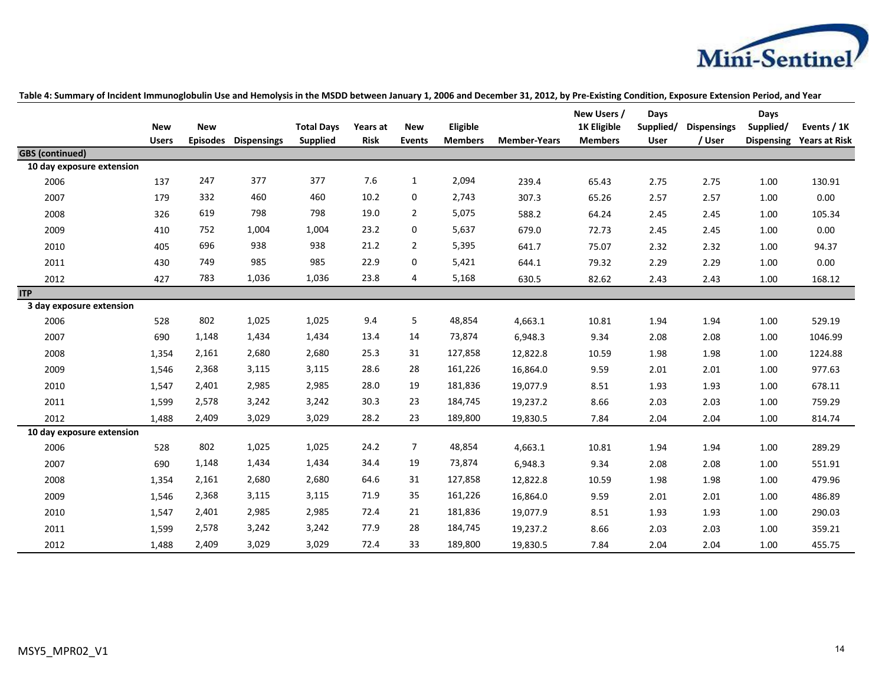

|                           | <b>New</b>   | <b>New</b>      |                    | <b>Total Days</b> | Years at    | <b>New</b>     | Eligible       |                     | New Users /<br>1K Eligible | Days<br>Supplied/ | <b>Dispensings</b> | Days<br>Supplied/ | Events / 1K          |
|---------------------------|--------------|-----------------|--------------------|-------------------|-------------|----------------|----------------|---------------------|----------------------------|-------------------|--------------------|-------------------|----------------------|
|                           | <b>Users</b> | <b>Episodes</b> | <b>Dispensings</b> | <b>Supplied</b>   | <b>Risk</b> | <b>Events</b>  | <b>Members</b> | <b>Member-Years</b> | <b>Members</b>             | User              | / User             | <b>Dispensing</b> | <b>Years at Risk</b> |
| <b>GBS</b> (continued)    |              |                 |                    |                   |             |                |                |                     |                            |                   |                    |                   |                      |
| 10 day exposure extension |              |                 |                    |                   |             |                |                |                     |                            |                   |                    |                   |                      |
| 2006                      | 137          | 247             | 377                | 377               | 7.6         | $\mathbf{1}$   | 2,094          | 239.4               | 65.43                      | 2.75              | 2.75               | 1.00              | 130.91               |
| 2007                      | 179          | 332             | 460                | 460               | 10.2        | $\mathbf 0$    | 2,743          | 307.3               | 65.26                      | 2.57              | 2.57               | 1.00              | 0.00                 |
| 2008                      | 326          | 619             | 798                | 798               | 19.0        | $\overline{2}$ | 5,075          | 588.2               | 64.24                      | 2.45              | 2.45               | 1.00              | 105.34               |
| 2009                      | 410          | 752             | 1,004              | 1,004             | 23.2        | $\mathbf 0$    | 5,637          | 679.0               | 72.73                      | 2.45              | 2.45               | 1.00              | 0.00                 |
| 2010                      | 405          | 696             | 938                | 938               | 21.2        | $\overline{2}$ | 5,395          | 641.7               | 75.07                      | 2.32              | 2.32               | 1.00              | 94.37                |
| 2011                      | 430          | 749             | 985                | 985               | 22.9        | $\mathbf 0$    | 5,421          | 644.1               | 79.32                      | 2.29              | 2.29               | 1.00              | 0.00                 |
| 2012                      | 427          | 783             | 1,036              | 1,036             | 23.8        | 4              | 5,168          | 630.5               | 82.62                      | 2.43              | 2.43               | 1.00              | 168.12               |
| <b>ITP</b>                |              |                 |                    |                   |             |                |                |                     |                            |                   |                    |                   |                      |
| 3 day exposure extension  |              |                 |                    |                   |             |                |                |                     |                            |                   |                    |                   |                      |
| 2006                      | 528          | 802             | 1,025              | 1,025             | 9.4         | 5              | 48,854         | 4,663.1             | 10.81                      | 1.94              | 1.94               | 1.00              | 529.19               |
| 2007                      | 690          | 1,148           | 1,434              | 1,434             | 13.4        | 14             | 73,874         | 6,948.3             | 9.34                       | 2.08              | 2.08               | 1.00              | 1046.99              |
| 2008                      | 1,354        | 2,161           | 2,680              | 2,680             | 25.3        | 31             | 127,858        | 12,822.8            | 10.59                      | 1.98              | 1.98               | 1.00              | 1224.88              |
| 2009                      | 1,546        | 2,368           | 3,115              | 3,115             | 28.6        | 28             | 161,226        | 16,864.0            | 9.59                       | 2.01              | 2.01               | 1.00              | 977.63               |
| 2010                      | 1,547        | 2,401           | 2,985              | 2,985             | 28.0        | 19             | 181,836        | 19,077.9            | 8.51                       | 1.93              | 1.93               | 1.00              | 678.11               |
| 2011                      | 1,599        | 2,578           | 3,242              | 3,242             | 30.3        | 23             | 184,745        | 19,237.2            | 8.66                       | 2.03              | 2.03               | 1.00              | 759.29               |
| 2012                      | 1,488        | 2,409           | 3,029              | 3,029             | 28.2        | 23             | 189,800        | 19,830.5            | 7.84                       | 2.04              | 2.04               | 1.00              | 814.74               |
| 10 day exposure extension |              |                 |                    |                   |             |                |                |                     |                            |                   |                    |                   |                      |
| 2006                      | 528          | 802             | 1,025              | 1,025             | 24.2        | $\overline{7}$ | 48,854         | 4,663.1             | 10.81                      | 1.94              | 1.94               | 1.00              | 289.29               |
| 2007                      | 690          | 1,148           | 1,434              | 1,434             | 34.4        | 19             | 73,874         | 6,948.3             | 9.34                       | 2.08              | 2.08               | 1.00              | 551.91               |
| 2008                      | 1,354        | 2,161           | 2,680              | 2,680             | 64.6        | 31             | 127,858        | 12,822.8            | 10.59                      | 1.98              | 1.98               | 1.00              | 479.96               |
| 2009                      | 1,546        | 2,368           | 3,115              | 3,115             | 71.9        | 35             | 161,226        | 16,864.0            | 9.59                       | 2.01              | 2.01               | 1.00              | 486.89               |
| 2010                      | 1,547        | 2,401           | 2,985              | 2,985             | 72.4        | 21             | 181,836        | 19,077.9            | 8.51                       | 1.93              | 1.93               | 1.00              | 290.03               |
| 2011                      | 1,599        | 2,578           | 3,242              | 3,242             | 77.9        | 28             | 184,745        | 19,237.2            | 8.66                       | 2.03              | 2.03               | 1.00              | 359.21               |
| 2012                      | 1,488        | 2,409           | 3,029              | 3,029             | 72.4        | 33             | 189,800        | 19,830.5            | 7.84                       | 2.04              | 2.04               | 1.00              | 455.75               |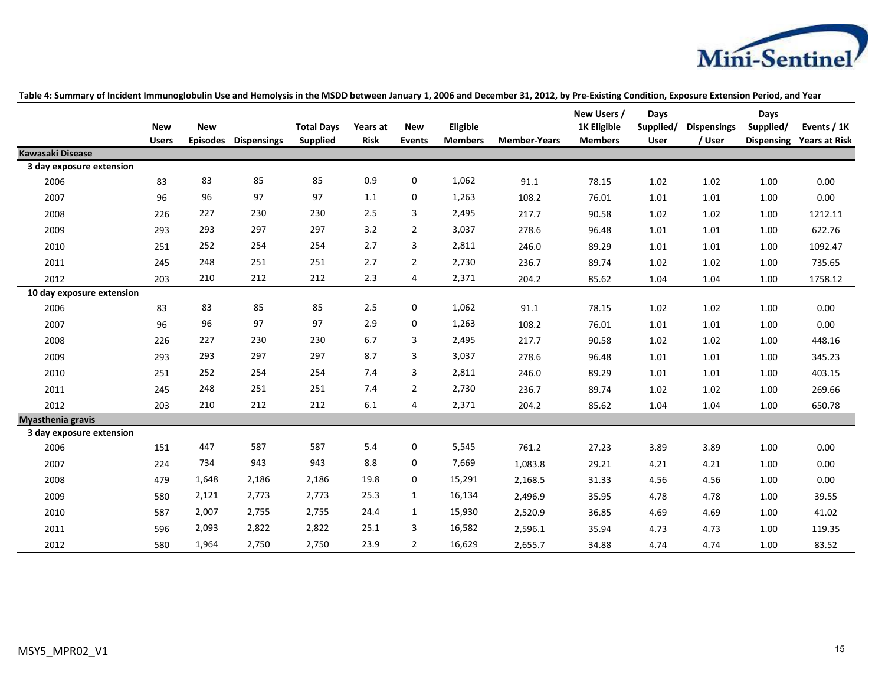

|                                              | <b>New</b>   | <b>New</b>      |                    | <b>Total Days</b> | Years at    | <b>New</b>     | Eligible       |                     | New Users /<br><b>1K Eligible</b> | Days<br>Supplied/ | <b>Dispensings</b> | Days<br>Supplied/ | Events / 1K          |
|----------------------------------------------|--------------|-----------------|--------------------|-------------------|-------------|----------------|----------------|---------------------|-----------------------------------|-------------------|--------------------|-------------------|----------------------|
|                                              | <b>Users</b> | <b>Episodes</b> | <b>Dispensings</b> | <b>Supplied</b>   | <b>Risk</b> | <b>Events</b>  | <b>Members</b> | <b>Member-Years</b> | <b>Members</b>                    | <b>User</b>       | / User             | <b>Dispensing</b> | <b>Years at Risk</b> |
| Kawasaki Disease<br>3 day exposure extension |              |                 |                    |                   |             |                |                |                     |                                   |                   |                    |                   |                      |
| 2006                                         | 83           | 83              | 85                 | 85                | 0.9         | 0              | 1,062          | 91.1                | 78.15                             | 1.02              | 1.02               | 1.00              | 0.00                 |
| 2007                                         | 96           | 96              | 97                 | 97                | 1.1         | 0              | 1,263          | 108.2               | 76.01                             | 1.01              | 1.01               | 1.00              | 0.00                 |
|                                              |              | 227             | 230                | 230               | 2.5         | 3              | 2,495          |                     |                                   |                   |                    |                   |                      |
| 2008                                         | 226          |                 |                    |                   |             |                |                | 217.7               | 90.58                             | 1.02              | 1.02               | 1.00              | 1212.11              |
| 2009                                         | 293          | 293             | 297                | 297               | 3.2         | $\overline{2}$ | 3,037          | 278.6               | 96.48                             | 1.01              | 1.01               | 1.00              | 622.76               |
| 2010                                         | 251          | 252             | 254                | 254               | 2.7         | 3              | 2,811          | 246.0               | 89.29                             | 1.01              | 1.01               | 1.00              | 1092.47              |
| 2011                                         | 245          | 248             | 251                | 251               | 2.7         | $\overline{2}$ | 2,730          | 236.7               | 89.74                             | 1.02              | 1.02               | 1.00              | 735.65               |
| 2012                                         | 203          | 210             | 212                | 212               | 2.3         | 4              | 2,371          | 204.2               | 85.62                             | 1.04              | 1.04               | 1.00              | 1758.12              |
| 10 day exposure extension                    |              |                 |                    |                   |             |                |                |                     |                                   |                   |                    |                   |                      |
| 2006                                         | 83           | 83              | 85                 | 85                | 2.5         | 0              | 1,062          | 91.1                | 78.15                             | 1.02              | 1.02               | 1.00              | 0.00                 |
| 2007                                         | 96           | 96              | 97                 | 97                | 2.9         | 0              | 1,263          | 108.2               | 76.01                             | 1.01              | 1.01               | 1.00              | 0.00                 |
| 2008                                         | 226          | 227             | 230                | 230               | 6.7         | 3              | 2,495          | 217.7               | 90.58                             | 1.02              | 1.02               | 1.00              | 448.16               |
| 2009                                         | 293          | 293             | 297                | 297               | 8.7         | 3              | 3,037          | 278.6               | 96.48                             | 1.01              | 1.01               | 1.00              | 345.23               |
| 2010                                         | 251          | 252             | 254                | 254               | 7.4         | 3              | 2,811          | 246.0               | 89.29                             | 1.01              | 1.01               | 1.00              | 403.15               |
| 2011                                         | 245          | 248             | 251                | 251               | 7.4         | $\overline{2}$ | 2,730          | 236.7               | 89.74                             | 1.02              | 1.02               | 1.00              | 269.66               |
| 2012                                         | 203          | 210             | 212                | 212               | 6.1         | 4              | 2,371          | 204.2               | 85.62                             | 1.04              | 1.04               | 1.00              | 650.78               |
| Myasthenia gravis                            |              |                 |                    |                   |             |                |                |                     |                                   |                   |                    |                   |                      |
| 3 day exposure extension                     |              |                 |                    |                   |             |                |                |                     |                                   |                   |                    |                   |                      |
| 2006                                         | 151          | 447             | 587                | 587               | 5.4         | 0              | 5,545          | 761.2               | 27.23                             | 3.89              | 3.89               | 1.00              | 0.00                 |
| 2007                                         | 224          | 734             | 943                | 943               | 8.8         | 0              | 7,669          | 1,083.8             | 29.21                             | 4.21              | 4.21               | 1.00              | 0.00                 |
| 2008                                         | 479          | 1,648           | 2,186              | 2,186             | 19.8        | 0              | 15,291         | 2,168.5             | 31.33                             | 4.56              | 4.56               | 1.00              | 0.00                 |
| 2009                                         | 580          | 2,121           | 2,773              | 2,773             | 25.3        | $\mathbf{1}$   | 16,134         | 2,496.9             | 35.95                             | 4.78              | 4.78               | 1.00              | 39.55                |
| 2010                                         | 587          | 2,007           | 2,755              | 2,755             | 24.4        | $\mathbf{1}$   | 15,930         | 2,520.9             | 36.85                             | 4.69              | 4.69               | 1.00              | 41.02                |
| 2011                                         | 596          | 2,093           | 2,822              | 2,822             | 25.1        | 3              | 16,582         | 2,596.1             | 35.94                             | 4.73              | 4.73               | 1.00              | 119.35               |
| 2012                                         | 580          | 1,964           | 2,750              | 2,750             | 23.9        | $\overline{2}$ | 16,629         | 2,655.7             | 34.88                             | 4.74              | 4.74               | 1.00              | 83.52                |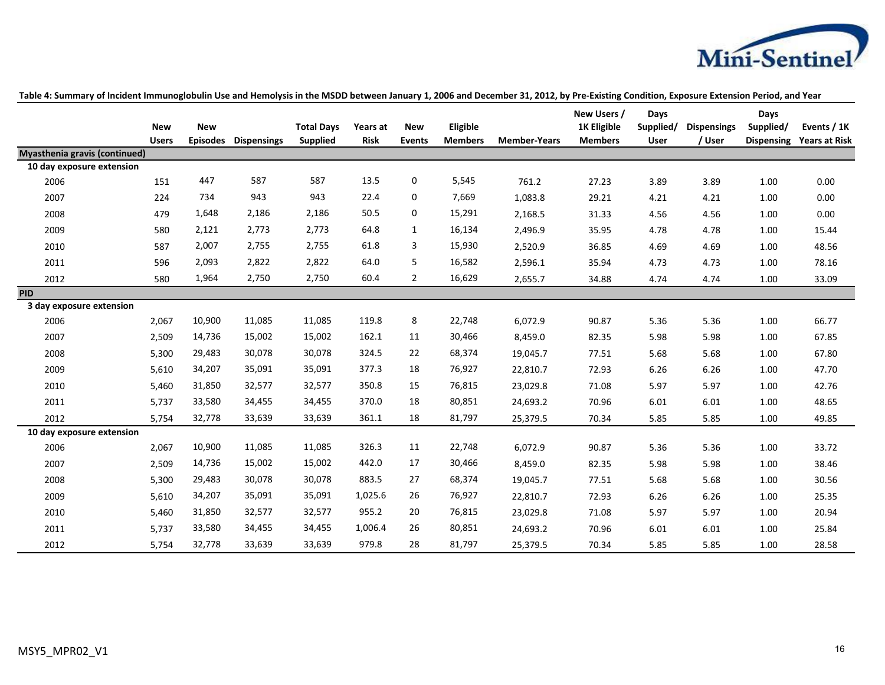

|                                      | <b>New</b><br><b>Users</b> | <b>New</b><br><b>Episodes</b> | <b>Dispensings</b> | <b>Total Days</b><br><b>Supplied</b> | Years at<br><b>Risk</b> | <b>New</b><br><b>Events</b> | Eligible<br><b>Members</b> | <b>Member-Years</b> | New Users /<br>1K Eligible<br><b>Members</b> | Days<br>Supplied/<br>User | <b>Dispensings</b><br>/ User | Days<br>Supplied/ | Events / 1K<br>Dispensing Years at Risk |
|--------------------------------------|----------------------------|-------------------------------|--------------------|--------------------------------------|-------------------------|-----------------------------|----------------------------|---------------------|----------------------------------------------|---------------------------|------------------------------|-------------------|-----------------------------------------|
| <b>Myasthenia gravis (continued)</b> |                            |                               |                    |                                      |                         |                             |                            |                     |                                              |                           |                              |                   |                                         |
| 10 day exposure extension            |                            |                               |                    |                                      |                         |                             |                            |                     |                                              |                           |                              |                   |                                         |
| 2006                                 | 151                        | 447                           | 587                | 587                                  | 13.5                    | $\mathbf 0$                 | 5,545                      | 761.2               | 27.23                                        | 3.89                      | 3.89                         | 1.00              | 0.00                                    |
| 2007                                 | 224                        | 734                           | 943                | 943                                  | 22.4                    | 0                           | 7,669                      | 1,083.8             | 29.21                                        | 4.21                      | 4.21                         | 1.00              | 0.00                                    |
| 2008                                 | 479                        | 1,648                         | 2,186              | 2,186                                | 50.5                    | 0                           | 15,291                     | 2,168.5             | 31.33                                        | 4.56                      | 4.56                         | 1.00              | 0.00                                    |
| 2009                                 | 580                        | 2,121                         | 2,773              | 2,773                                | 64.8                    | 1                           | 16,134                     | 2,496.9             | 35.95                                        | 4.78                      | 4.78                         | 1.00              | 15.44                                   |
| 2010                                 | 587                        | 2,007                         | 2,755              | 2,755                                | 61.8                    | 3                           | 15,930                     | 2,520.9             | 36.85                                        | 4.69                      | 4.69                         | 1.00              | 48.56                                   |
| 2011                                 | 596                        | 2,093                         | 2,822              | 2,822                                | 64.0                    | 5                           | 16,582                     | 2,596.1             | 35.94                                        | 4.73                      | 4.73                         | 1.00              | 78.16                                   |
| 2012                                 | 580                        | 1,964                         | 2,750              | 2,750                                | 60.4                    | $\overline{2}$              | 16,629                     | 2,655.7             | 34.88                                        | 4.74                      | 4.74                         | 1.00              | 33.09                                   |
| <b>PID</b>                           |                            |                               |                    |                                      |                         |                             |                            |                     |                                              |                           |                              |                   |                                         |
| 3 day exposure extension             |                            |                               |                    |                                      |                         |                             |                            |                     |                                              |                           |                              |                   |                                         |
| 2006                                 | 2,067                      | 10,900                        | 11,085             | 11,085                               | 119.8                   | 8                           | 22,748                     | 6,072.9             | 90.87                                        | 5.36                      | 5.36                         | 1.00              | 66.77                                   |
| 2007                                 | 2,509                      | 14,736                        | 15,002             | 15,002                               | 162.1                   | 11                          | 30,466                     | 8,459.0             | 82.35                                        | 5.98                      | 5.98                         | 1.00              | 67.85                                   |
| 2008                                 | 5,300                      | 29,483                        | 30,078             | 30,078                               | 324.5                   | 22                          | 68,374                     | 19,045.7            | 77.51                                        | 5.68                      | 5.68                         | 1.00              | 67.80                                   |
| 2009                                 | 5,610                      | 34,207                        | 35,091             | 35,091                               | 377.3                   | 18                          | 76,927                     | 22,810.7            | 72.93                                        | 6.26                      | 6.26                         | 1.00              | 47.70                                   |
| 2010                                 | 5,460                      | 31,850                        | 32,577             | 32,577                               | 350.8                   | 15                          | 76,815                     | 23,029.8            | 71.08                                        | 5.97                      | 5.97                         | 1.00              | 42.76                                   |
| 2011                                 | 5,737                      | 33,580                        | 34,455             | 34,455                               | 370.0                   | 18                          | 80,851                     | 24,693.2            | 70.96                                        | 6.01                      | 6.01                         | 1.00              | 48.65                                   |
| 2012                                 | 5,754                      | 32,778                        | 33,639             | 33,639                               | 361.1                   | 18                          | 81,797                     | 25,379.5            | 70.34                                        | 5.85                      | 5.85                         | 1.00              | 49.85                                   |
| 10 day exposure extension            |                            |                               |                    |                                      |                         |                             |                            |                     |                                              |                           |                              |                   |                                         |
| 2006                                 | 2,067                      | 10,900                        | 11,085             | 11,085                               | 326.3                   | 11                          | 22,748                     | 6,072.9             | 90.87                                        | 5.36                      | 5.36                         | 1.00              | 33.72                                   |
| 2007                                 | 2,509                      | 14,736                        | 15,002             | 15,002                               | 442.0                   | 17                          | 30,466                     | 8,459.0             | 82.35                                        | 5.98                      | 5.98                         | 1.00              | 38.46                                   |
| 2008                                 | 5,300                      | 29,483                        | 30,078             | 30,078                               | 883.5                   | 27                          | 68,374                     | 19,045.7            | 77.51                                        | 5.68                      | 5.68                         | 1.00              | 30.56                                   |
| 2009                                 | 5,610                      | 34,207                        | 35,091             | 35,091                               | 1,025.6                 | 26                          | 76,927                     | 22,810.7            | 72.93                                        | 6.26                      | 6.26                         | 1.00              | 25.35                                   |
| 2010                                 | 5,460                      | 31,850                        | 32,577             | 32,577                               | 955.2                   | 20                          | 76,815                     | 23,029.8            | 71.08                                        | 5.97                      | 5.97                         | 1.00              | 20.94                                   |
| 2011                                 | 5,737                      | 33,580                        | 34,455             | 34,455                               | 1,006.4                 | 26                          | 80,851                     | 24,693.2            | 70.96                                        | 6.01                      | 6.01                         | 1.00              | 25.84                                   |
| 2012                                 | 5,754                      | 32,778                        | 33,639             | 33,639                               | 979.8                   | 28                          | 81,797                     | 25,379.5            | 70.34                                        | 5.85                      | 5.85                         | 1.00              | 28.58                                   |

**Table 4: Summary of Incident Immunoglobulin Use and Hemolysis in the MSDD between January 1, 2006 and December 31, 2012, by Pre-Existing Condition, Exposure Extension Period, and Year**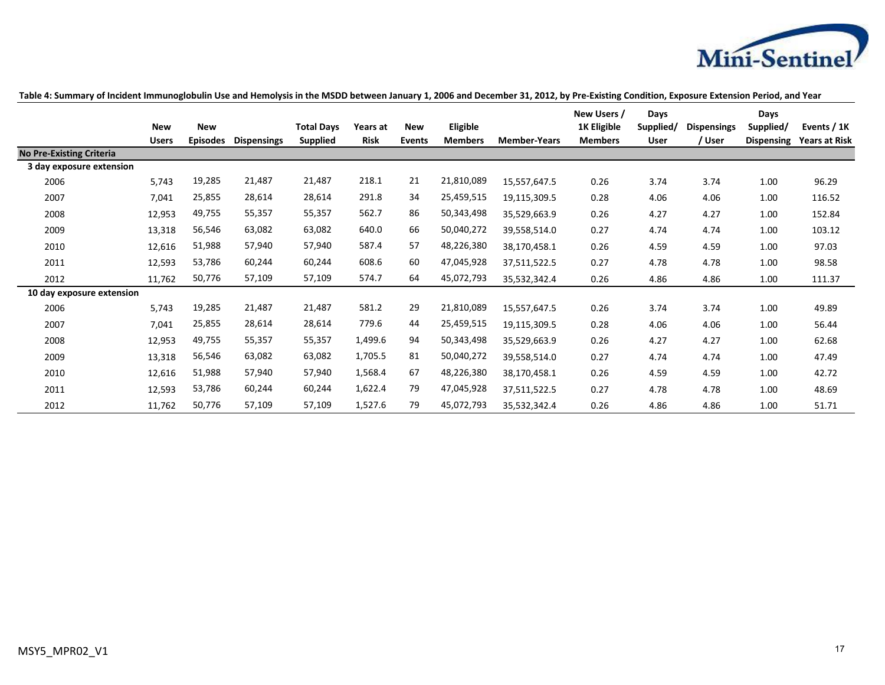

|                                 | <b>New</b>   | <b>New</b>      |                    | <b>Total Days</b> | Years at    | <b>New</b>    | Eligible       |                     | New Users /<br><b>1K Eligible</b> | Days<br>Supplied/ | <b>Dispensings</b> | Days<br>Supplied/ | Events / 1K          |
|---------------------------------|--------------|-----------------|--------------------|-------------------|-------------|---------------|----------------|---------------------|-----------------------------------|-------------------|--------------------|-------------------|----------------------|
|                                 | <b>Users</b> | <b>Episodes</b> | <b>Dispensings</b> | <b>Supplied</b>   | <b>Risk</b> | <b>Events</b> | <b>Members</b> | <b>Member-Years</b> | <b>Members</b>                    | User              | / User             | Dispensing        | <b>Years at Risk</b> |
| <b>No Pre-Existing Criteria</b> |              |                 |                    |                   |             |               |                |                     |                                   |                   |                    |                   |                      |
| 3 day exposure extension        |              |                 |                    |                   |             |               |                |                     |                                   |                   |                    |                   |                      |
| 2006                            | 5,743        | 19,285          | 21,487             | 21,487            | 218.1       | 21            | 21,810,089     | 15,557,647.5        | 0.26                              | 3.74              | 3.74               | 1.00              | 96.29                |
| 2007                            | 7,041        | 25,855          | 28,614             | 28,614            | 291.8       | 34            | 25,459,515     | 19,115,309.5        | 0.28                              | 4.06              | 4.06               | 1.00              | 116.52               |
| 2008                            | 12,953       | 49,755          | 55,357             | 55,357            | 562.7       | 86            | 50,343,498     | 35,529,663.9        | 0.26                              | 4.27              | 4.27               | 1.00              | 152.84               |
| 2009                            | 13,318       | 56,546          | 63,082             | 63,082            | 640.0       | 66            | 50,040,272     | 39,558,514.0        | 0.27                              | 4.74              | 4.74               | 1.00              | 103.12               |
| 2010                            | 12,616       | 51,988          | 57,940             | 57,940            | 587.4       | 57            | 48,226,380     | 38,170,458.1        | 0.26                              | 4.59              | 4.59               | 1.00              | 97.03                |
| 2011                            | 12,593       | 53,786          | 60,244             | 60,244            | 608.6       | 60            | 47,045,928     | 37,511,522.5        | 0.27                              | 4.78              | 4.78               | 1.00              | 98.58                |
| 2012                            | 11,762       | 50,776          | 57,109             | 57,109            | 574.7       | 64            | 45,072,793     | 35,532,342.4        | 0.26                              | 4.86              | 4.86               | 1.00              | 111.37               |
| 10 day exposure extension       |              |                 |                    |                   |             |               |                |                     |                                   |                   |                    |                   |                      |
| 2006                            | 5,743        | 19,285          | 21,487             | 21,487            | 581.2       | 29            | 21,810,089     | 15,557,647.5        | 0.26                              | 3.74              | 3.74               | 1.00              | 49.89                |
| 2007                            | 7,041        | 25,855          | 28,614             | 28,614            | 779.6       | 44            | 25,459,515     | 19,115,309.5        | 0.28                              | 4.06              | 4.06               | 1.00              | 56.44                |
| 2008                            | 12,953       | 49,755          | 55,357             | 55,357            | 1,499.6     | 94            | 50,343,498     | 35,529,663.9        | 0.26                              | 4.27              | 4.27               | 1.00              | 62.68                |
| 2009                            | 13,318       | 56,546          | 63,082             | 63,082            | 1,705.5     | 81            | 50,040,272     | 39,558,514.0        | 0.27                              | 4.74              | 4.74               | 1.00              | 47.49                |
| 2010                            | 12,616       | 51,988          | 57,940             | 57,940            | 1,568.4     | 67            | 48,226,380     | 38,170,458.1        | 0.26                              | 4.59              | 4.59               | 1.00              | 42.72                |
| 2011                            | 12,593       | 53,786          | 60,244             | 60,244            | 1,622.4     | 79            | 47,045,928     | 37,511,522.5        | 0.27                              | 4.78              | 4.78               | 1.00              | 48.69                |
| 2012                            | 11,762       | 50,776          | 57,109             | 57,109            | 1,527.6     | 79            | 45,072,793     | 35,532,342.4        | 0.26                              | 4.86              | 4.86               | 1.00              | 51.71                |

### **Table 4: Summary of Incident Immunoglobulin Use and Hemolysis in the MSDD between January 1, 2006 and December 31, 2012, by Pre-Existing Condition, Exposure Extension Period, and Year**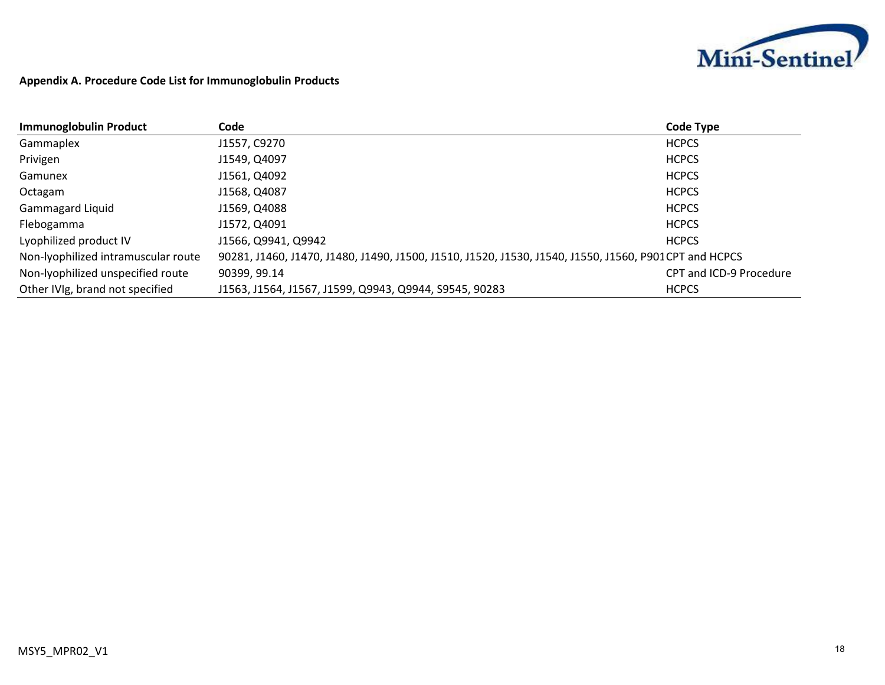

## **Appendix A. Procedure Code List for Immunoglobulin Products**

| <b>Immunoglobulin Product</b>       | Code                                                                                                  | <b>Code Type</b>        |
|-------------------------------------|-------------------------------------------------------------------------------------------------------|-------------------------|
| Gammaplex                           | J1557, C9270                                                                                          | <b>HCPCS</b>            |
| Privigen                            | J1549, Q4097                                                                                          | <b>HCPCS</b>            |
| Gamunex                             | J1561, Q4092                                                                                          | <b>HCPCS</b>            |
| Octagam                             | J1568, Q4087                                                                                          | <b>HCPCS</b>            |
| <b>Gammagard Liquid</b>             | J1569, Q4088                                                                                          | <b>HCPCS</b>            |
| Flebogamma                          | J1572, Q4091                                                                                          | <b>HCPCS</b>            |
| Lyophilized product IV              | J1566, Q9941, Q9942                                                                                   | <b>HCPCS</b>            |
| Non-lyophilized intramuscular route | 90281, J1460, J1470, J1480, J1490, J1500, J1510, J1520, J1530, J1540, J1550, J1560, P901CPT and HCPCS |                         |
| Non-lyophilized unspecified route   | 90399, 99.14                                                                                          | CPT and ICD-9 Procedure |
| Other IVIg, brand not specified     | J1563, J1564, J1567, J1599, Q9943, Q9944, S9545, 90283                                                | <b>HCPCS</b>            |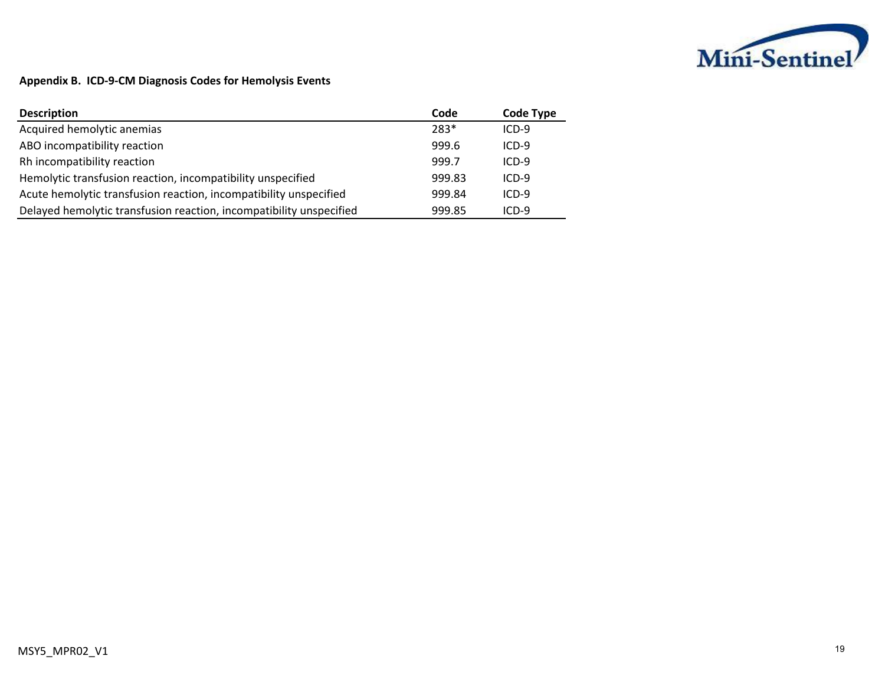

## **Appendix B. ICD-9-CM Diagnosis Codes for Hemolysis Events**

| <b>Description</b>                                                  | Code   | <b>Code Type</b> |
|---------------------------------------------------------------------|--------|------------------|
| Acquired hemolytic anemias                                          | 283*   | $ICD-9$          |
| ABO incompatibility reaction                                        | 999.6  | $ICD-9$          |
| Rh incompatibility reaction                                         | 999.7  | $ICD-9$          |
| Hemolytic transfusion reaction, incompatibility unspecified         | 999.83 | $ICD-9$          |
| Acute hemolytic transfusion reaction, incompatibility unspecified   | 999.84 | $ICD-9$          |
| Delayed hemolytic transfusion reaction, incompatibility unspecified | 999.85 | $ICD-9$          |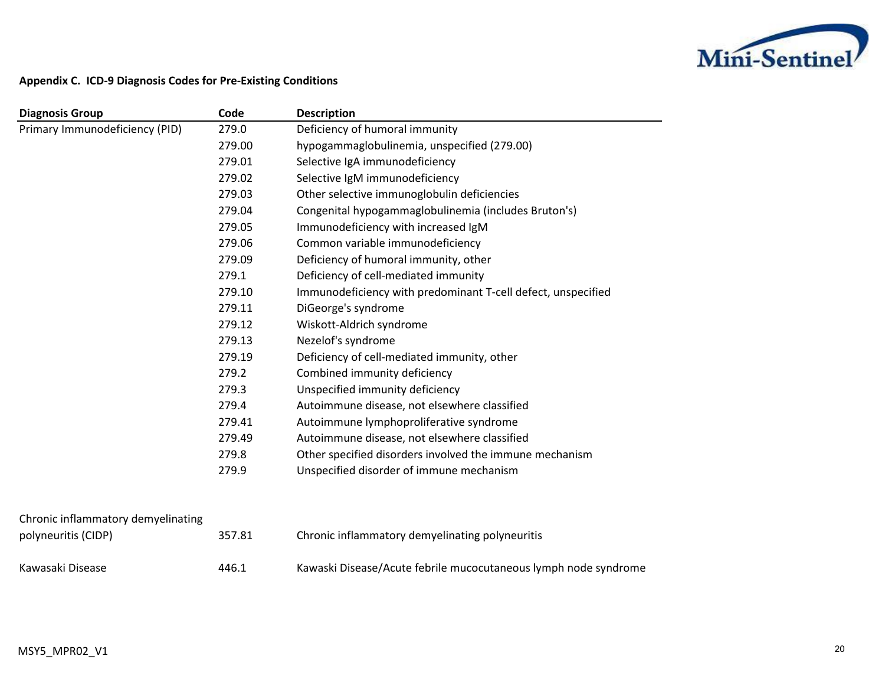

## **Appendix C. ICD-9 Diagnosis Codes for Pre-Existing Conditions**

| <b>Diagnosis Group</b>         | Code   | <b>Description</b>                                           |
|--------------------------------|--------|--------------------------------------------------------------|
| Primary Immunodeficiency (PID) | 279.0  | Deficiency of humoral immunity                               |
|                                | 279.00 | hypogammaglobulinemia, unspecified (279.00)                  |
|                                | 279.01 | Selective IgA immunodeficiency                               |
|                                | 279.02 | Selective IgM immunodeficiency                               |
|                                | 279.03 | Other selective immunoglobulin deficiencies                  |
|                                | 279.04 | Congenital hypogammaglobulinemia (includes Bruton's)         |
|                                | 279.05 | Immunodeficiency with increased IgM                          |
|                                | 279.06 | Common variable immunodeficiency                             |
|                                | 279.09 | Deficiency of humoral immunity, other                        |
|                                | 279.1  | Deficiency of cell-mediated immunity                         |
|                                | 279.10 | Immunodeficiency with predominant T-cell defect, unspecified |
|                                | 279.11 | DiGeorge's syndrome                                          |
|                                | 279.12 | Wiskott-Aldrich syndrome                                     |
|                                | 279.13 | Nezelof's syndrome                                           |
|                                | 279.19 | Deficiency of cell-mediated immunity, other                  |
|                                | 279.2  | Combined immunity deficiency                                 |
|                                | 279.3  | Unspecified immunity deficiency                              |
|                                | 279.4  | Autoimmune disease, not elsewhere classified                 |
|                                | 279.41 | Autoimmune lymphoproliferative syndrome                      |
|                                | 279.49 | Autoimmune disease, not elsewhere classified                 |
|                                | 279.8  | Other specified disorders involved the immune mechanism      |
|                                | 279.9  | Unspecified disorder of immune mechanism                     |

| polyneuritis (CIDP) | 357.81 | Chronic inflammatory demyelinating polyneuritis                 |
|---------------------|--------|-----------------------------------------------------------------|
| Kawasaki Disease    | 446.1  | Kawaski Disease/Acute febrile mucocutaneous lymph node syndrome |